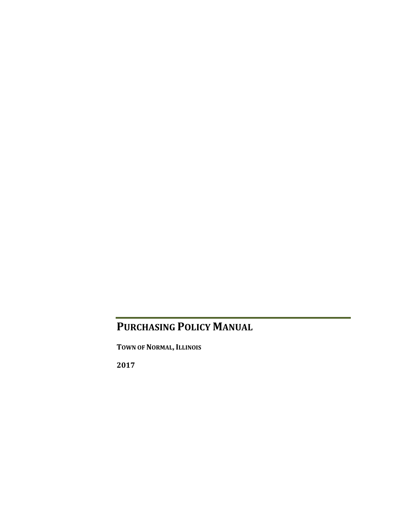### **PURCHASING POLICY MANUAL**

**TOWN OF NORMAL, ILLINOIS**

**2017**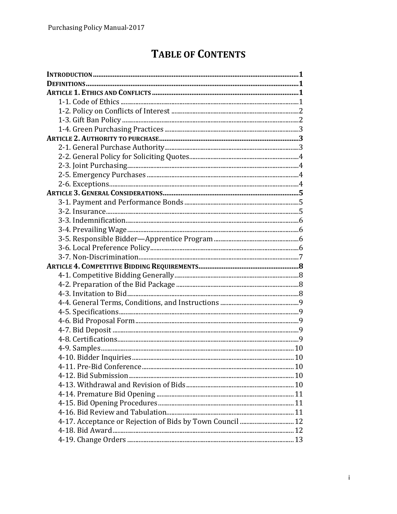## **TABLE OF CONTENTS**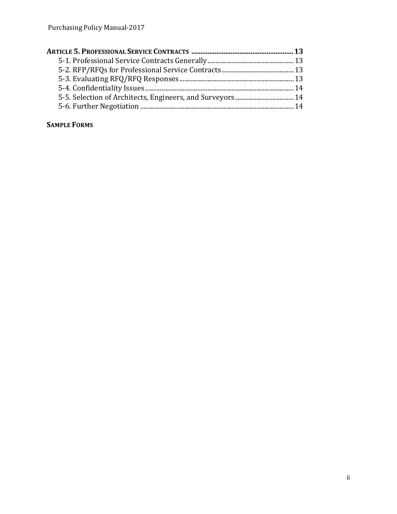### **SAMPLE FORMS**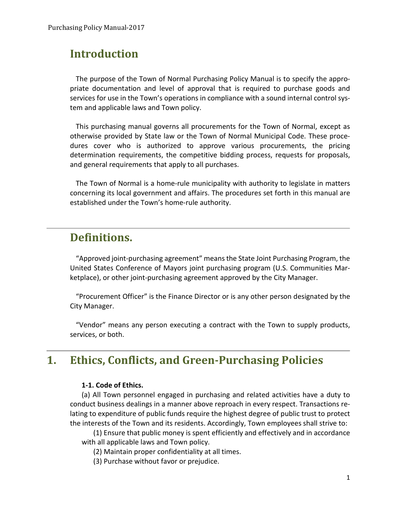### **Introduction**

The purpose of the Town of Normal Purchasing Policy Manual is to specify the appropriate documentation and level of approval that is required to purchase goods and services for use in the Town's operations in compliance with a sound internal control system and applicable laws and Town policy.

This purchasing manual governs all procurements for the Town of Normal, except as otherwise provided by State law or the Town of Normal Municipal Code. These procedures cover who is authorized to approve various procurements, the pricing determination requirements, the competitive bidding process, requests for proposals, and general requirements that apply to all purchases.

The Town of Normal is a home-rule municipality with authority to legislate in matters concerning its local government and affairs. The procedures set forth in this manual are established under the Town's home-rule authority.

### **Definitions.**

"Approved joint-purchasing agreement" means the State Joint Purchasing Program, the United States Conference of Mayors joint purchasing program (U.S. Communities Marketplace), or other joint-purchasing agreement approved by the City Manager.

"Procurement Officer" is the Finance Director or is any other person designated by the City Manager.

"Vendor" means any person executing a contract with the Town to supply products, services, or both.

### **1. Ethics, Conflicts, and Green-Purchasing Policies**

### **1-1. Code of Ethics.**

(a) All Town personnel engaged in purchasing and related activities have a duty to conduct business dealings in a manner above reproach in every respect. Transactions relating to expenditure of public funds require the highest degree of public trust to protect the interests of the Town and its residents. Accordingly, Town employees shall strive to:

(1) Ensure that public money is spent efficiently and effectively and in accordance with all applicable laws and Town policy.

(2) Maintain proper confidentiality at all times.

(3) Purchase without favor or prejudice.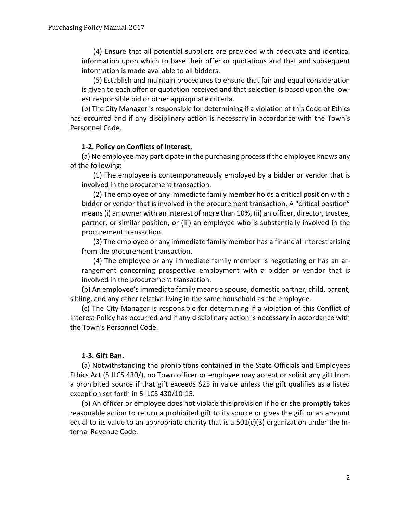(4) Ensure that all potential suppliers are provided with adequate and identical information upon which to base their offer or quotations and that and subsequent information is made available to all bidders.

(5) Establish and maintain procedures to ensure that fair and equal consideration is given to each offer or quotation received and that selection is based upon the lowest responsible bid or other appropriate criteria.

(b) The City Manager is responsible for determining if a violation of this Code of Ethics has occurred and if any disciplinary action is necessary in accordance with the Town's Personnel Code.

### **1-2. Policy on Conflicts of Interest.**

(a) No employee may participate in the purchasing process if the employee knows any of the following:

(1) The employee is contemporaneously employed by a bidder or vendor that is involved in the procurement transaction.

(2) The employee or any immediate family member holds a critical position with a bidder or vendor that is involved in the procurement transaction. A "critical position" means (i) an owner with an interest of more than 10%, (ii) an officer, director, trustee, partner, or similar position, or (iii) an employee who is substantially involved in the procurement transaction.

(3) The employee or any immediate family member has a financial interest arising from the procurement transaction.

(4) The employee or any immediate family member is negotiating or has an arrangement concerning prospective employment with a bidder or vendor that is involved in the procurement transaction.

(b) An employee's immediate family means a spouse, domestic partner, child, parent, sibling, and any other relative living in the same household as the employee.

(c) The City Manager is responsible for determining if a violation of this Conflict of Interest Policy has occurred and if any disciplinary action is necessary in accordance with the Town's Personnel Code.

### **1-3. Gift Ban.**

(a) Notwithstanding the prohibitions contained in the State Officials and Employees Ethics Act (5 ILCS 430/), no Town officer or employee may accept or solicit any gift from a prohibited source if that gift exceeds \$25 in value unless the gift qualifies as a listed exception set forth in 5 ILCS 430/10-15.

(b) An officer or employee does not violate this provision if he or she promptly takes reasonable action to return a prohibited gift to its source or gives the gift or an amount equal to its value to an appropriate charity that is a 501(c)(3) organization under the Internal Revenue Code.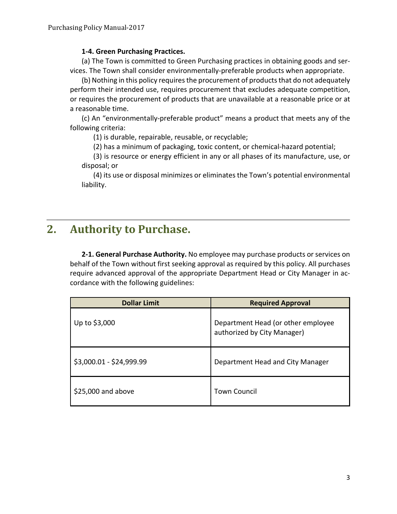### **1-4. Green Purchasing Practices.**

(a) The Town is committed to Green Purchasing practices in obtaining goods and services. The Town shall consider environmentally-preferable products when appropriate.

(b) Nothing in this policy requires the procurement of products that do not adequately perform their intended use, requires procurement that excludes adequate competition, or requires the procurement of products that are unavailable at a reasonable price or at a reasonable time.

(c) An "environmentally-preferable product" means a product that meets any of the following criteria:

(1) is durable, repairable, reusable, or recyclable;

(2) has a minimum of packaging, toxic content, or chemical-hazard potential;

(3) is resource or energy efficient in any or all phases of its manufacture, use, or disposal; or

(4) its use or disposal minimizes or eliminates the Town's potential environmental liability.

### **2. Authority to Purchase.**

**2-1. General Purchase Authority.** No employee may purchase products or services on behalf of the Town without first seeking approval as required by this policy. All purchases require advanced approval of the appropriate Department Head or City Manager in accordance with the following guidelines:

| <b>Dollar Limit</b>      | <b>Required Approval</b>                                          |
|--------------------------|-------------------------------------------------------------------|
| Up to \$3,000            | Department Head (or other employee<br>authorized by City Manager) |
| \$3,000.01 - \$24,999.99 | Department Head and City Manager                                  |
| $$25,000$ and above      | <b>Town Council</b>                                               |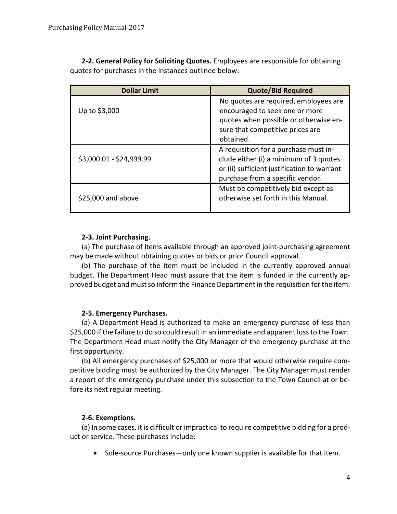**2-2. General Policy for Soliciting Quotes.** Employees are responsible for obtaining quotes for purchases in the instances outlined below:

| <b>Dollar Limit</b>      | <b>Quote/Bid Required</b>                                                                                                                                          |
|--------------------------|--------------------------------------------------------------------------------------------------------------------------------------------------------------------|
| Up to \$3,000            | No quotes are required, employees are<br>encouraged to seek one or more<br>quotes when possible or otherwise en-<br>sure that competitive prices are<br>obtained.  |
| \$3,000.01 - \$24,999.99 | A requisition for a purchase must in-<br>clude either (i) a minimum of 3 quotes<br>or (ii) sufficient justification to warrant<br>purchase from a specific vendor. |
| \$25,000 and above       | Must be competitively bid except as<br>otherwise set forth in this Manual.                                                                                         |

### **2-3. Joint Purchasing.**

(a) The purchase of items available through an approved joint-purchasing agreement may be made without obtaining quotes or bids or prior Council approval.

(b) The purchase of the item must be included in the currently approved annual budget. The Department Head must assure that the item is funded in the currently approved budget and must so inform the Finance Department in the requisition for the item.

### **2-5. Emergency Purchases.**

(a) A Department Head is authorized to make an emergency purchase of less than \$25,000 if the failure to do so could result in an immediate and apparent loss to the Town. The Department Head must notify the City Manager of the emergency purchase at the first opportunity.

(b) All emergency purchases of \$25,000 or more that would otherwise require competitive bidding must be authorized by the City Manager. The City Manager must render a report of the emergency purchase under this subsection to the Town Council at or before its next regular meeting.

### **2-6. Exemptions.**

(a) In some cases, it is difficult or impractical to require competitive bidding for a product or service. These purchases include:

• Sole-source Purchases—only one known supplier is available for that item.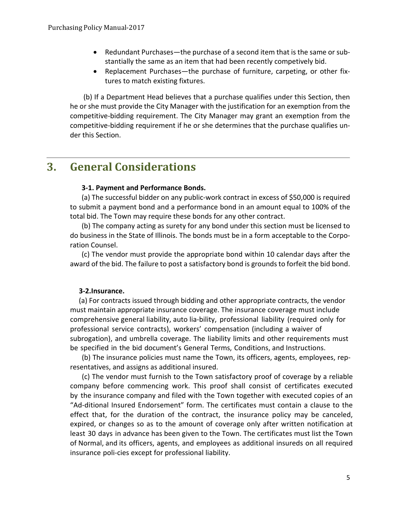- Redundant Purchases—the purchase of a second item that is the same or substantially the same as an item that had been recently competively bid.
- Replacement Purchases—the purchase of furniture, carpeting, or other fixtures to match existing fixtures.

(b) If a Department Head believes that a purchase qualifies under this Section, then he or she must provide the City Manager with the justification for an exemption from the competitive-bidding requirement. The City Manager may grant an exemption from the competitive-bidding requirement if he or she determines that the purchase qualifies under this Section.

### **3. General Considerations**

### **3-1. Payment and Performance Bonds.**

(a) The successful bidder on any public-work contract in excess of \$50,000 is required to submit a payment bond and a performance bond in an amount equal to 100% of the total bid. The Town may require these bonds for any other contract.

(b) The company acting as surety for any bond under this section must be licensed to do business in the State of Illinois. The bonds must be in a form acceptable to the Corporation Counsel.

(c) The vendor must provide the appropriate bond within 10 calendar days after the award of the bid. The failure to post a satisfactory bond is grounds to forfeit the bid bond.

### **3-2.Insurance.**

 (a) For contracts issued through bidding and other appropriate contracts, the vendor must maintain appropriate insurance coverage. The insurance coverage must include comprehensive general liability, auto lia-bility, professional liability (required only for professional service contracts), workers' compensation (including a waiver of subrogation), and umbrella coverage. The liability limits and other requirements must be specified in the bid document's General Terms, Conditions, and Instructions.

(b) The insurance policies must name the Town, its officers, agents, employees, representatives, and assigns as additional insured.

(c) The vendor must furnish to the Town satisfactory proof of coverage by a reliable company before commencing work. This proof shall consist of certificates executed by the insurance company and filed with the Town together with executed copies of an "Ad-ditional Insured Endorsement" form. The certificates must contain a clause to the effect that, for the duration of the contract, the insurance policy may be canceled, expired, or changes so as to the amount of coverage only after written notification at least 30 days in advance has been given to the Town. The certificates must list the Town of Normal, and its officers, agents, and employees as additional insureds on all required insurance poli-cies except for professional liability.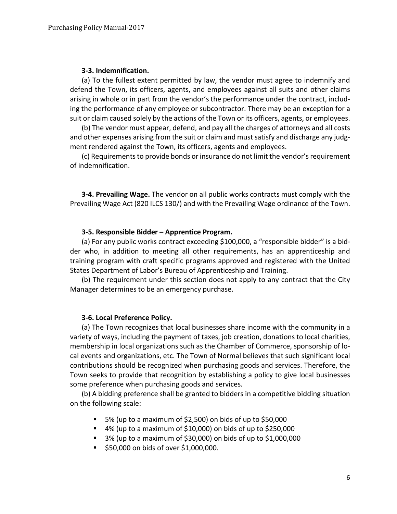### **3-3. Indemnification.**

(a) To the fullest extent permitted by law, the vendor must agree to indemnify and defend the Town, its officers, agents, and employees against all suits and other claims arising in whole or in part from the vendor's the performance under the contract, including the performance of any employee or subcontractor. There may be an exception for a suit or claim caused solely by the actions of the Town or its officers, agents, or employees.

(b) The vendor must appear, defend, and pay all the charges of attorneys and all costs and other expenses arising from the suit or claim and must satisfy and discharge any judgment rendered against the Town, its officers, agents and employees.

(c) Requirements to provide bonds or insurance do not limit the vendor's requirement of indemnification.

**3-4. Prevailing Wage.** The vendor on all public works contracts must comply with the Prevailing Wage Act (820 ILCS 130/) and with the Prevailing Wage ordinance of the Town.

### **3-5. Responsible Bidder – Apprentice Program.**

(a) For any public works contract exceeding \$100,000, a "responsible bidder" is a bidder who, in addition to meeting all other requirements, has an apprenticeship and training program with craft specific programs approved and registered with the United States Department of Labor's Bureau of Apprenticeship and Training.

(b) The requirement under this section does not apply to any contract that the City Manager determines to be an emergency purchase.

### **3-6. Local Preference Policy.**

(a) The Town recognizes that local businesses share income with the community in a variety of ways, including the payment of taxes, job creation, donations to local charities, membership in local organizations such as the Chamber of Commerce, sponsorship of local events and organizations, etc. The Town of Normal believes that such significant local contributions should be recognized when purchasing goods and services. Therefore, the Town seeks to provide that recognition by establishing a policy to give local businesses some preference when purchasing goods and services.

(b) A bidding preference shall be granted to bidders in a competitive bidding situation on the following scale:

- 5% (up to a maximum of \$2,500) on bids of up to \$50,000
- $\blacksquare$  4% (up to a maximum of \$10,000) on bids of up to \$250,000
- $\blacksquare$  3% (up to a maximum of \$30,000) on bids of up to \$1,000,000
- \$50,000 on bids of over \$1,000,000.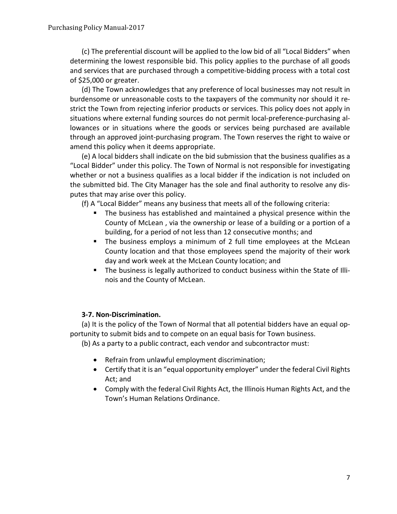(c) The preferential discount will be applied to the low bid of all "Local Bidders" when determining the lowest responsible bid. This policy applies to the purchase of all goods and services that are purchased through a competitive-bidding process with a total cost of \$25,000 or greater.

(d) The Town acknowledges that any preference of local businesses may not result in burdensome or unreasonable costs to the taxpayers of the community nor should it restrict the Town from rejecting inferior products or services. This policy does not apply in situations where external funding sources do not permit local-preference-purchasing allowances or in situations where the goods or services being purchased are available through an approved joint-purchasing program. The Town reserves the right to waive or amend this policy when it deems appropriate.

(e) A local bidders shall indicate on the bid submission that the business qualifies as a "Local Bidder" under this policy. The Town of Normal is not responsible for investigating whether or not a business qualifies as a local bidder if the indication is not included on the submitted bid. The City Manager has the sole and final authority to resolve any disputes that may arise over this policy.

(f) A "Local Bidder" means any business that meets all of the following criteria:

- The business has established and maintained a physical presence within the County of McLean , via the ownership or lease of a building or a portion of a building, for a period of not less than 12 consecutive months; and
- The business employs a minimum of 2 full time employees at the McLean County location and that those employees spend the majority of their work day and work week at the McLean County location; and
- The business is legally authorized to conduct business within the State of Illinois and the County of McLean.

### **3-7. Non-Discrimination.**

(a) It is the policy of the Town of Normal that all potential bidders have an equal opportunity to submit bids and to compete on an equal basis for Town business.

(b) As a party to a public contract, each vendor and subcontractor must:

- Refrain from unlawful employment discrimination;
- Certify that it is an "equal opportunity employer" under the federal Civil Rights Act; and
- Comply with the federal Civil Rights Act, the Illinois Human Rights Act, and the Town's Human Relations Ordinance.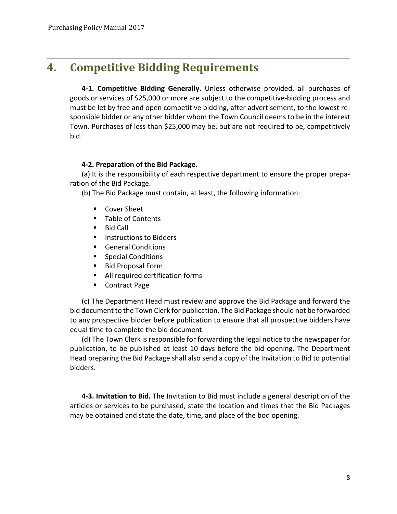### **4. Competitive Bidding Requirements**

**4-1. Competitive Bidding Generally.** Unless otherwise provided, all purchases of goods or services of \$25,000 or more are subject to the competitive-bidding process and must be let by free and open competitive bidding, after advertisement, to the lowest responsible bidder or any other bidder whom the Town Council deems to be in the interest Town. Purchases of less than \$25,000 may be, but are not required to be, competitively bid.

### **4-2. Preparation of the Bid Package.**

(a) It is the responsibility of each respective department to ensure the proper preparation of the Bid Package.

(b) The Bid Package must contain, at least, the following information:

- Cover Sheet
- **Table of Contents**
- Bid Call
- **Instructions to Bidders**
- General Conditions
- **Special Conditions**
- Bid Proposal Form
- All required certification forms
- Contract Page

(c) The Department Head must review and approve the Bid Package and forward the bid document to the Town Clerk for publication. The Bid Package should not be forwarded to any prospective bidder before publication to ensure that all prospective bidders have equal time to complete the bid document.

(d) The Town Clerk is responsible for forwarding the legal notice to the newspaper for publication, to be published at least 10 days before the bid opening. The Department Head preparing the Bid Package shall also send a copy of the Invitation to Bid to potential bidders.

**4-3. Invitation to Bid.** The Invitation to Bid must include a general description of the articles or services to be purchased, state the location and times that the Bid Packages may be obtained and state the date, time, and place of the bod opening.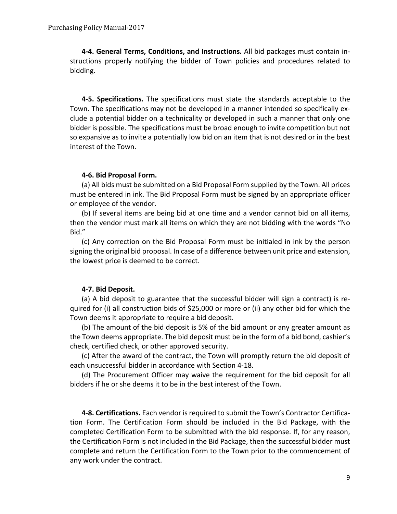**4-4. General Terms, Conditions, and Instructions.** All bid packages must contain instructions properly notifying the bidder of Town policies and procedures related to bidding.

**4-5. Specifications.** The specifications must state the standards acceptable to the Town. The specifications may not be developed in a manner intended so specifically exclude a potential bidder on a technicality or developed in such a manner that only one bidder is possible. The specifications must be broad enough to invite competition but not so expansive as to invite a potentially low bid on an item that is not desired or in the best interest of the Town.

### **4-6. Bid Proposal Form.**

(a) All bids must be submitted on a Bid Proposal Form supplied by the Town. All prices must be entered in ink. The Bid Proposal Form must be signed by an appropriate officer or employee of the vendor.

(b) If several items are being bid at one time and a vendor cannot bid on all items, then the vendor must mark all items on which they are not bidding with the words "No Bid."

(c) Any correction on the Bid Proposal Form must be initialed in ink by the person signing the original bid proposal. In case of a difference between unit price and extension, the lowest price is deemed to be correct.

### **4-7. Bid Deposit.**

(a) A bid deposit to guarantee that the successful bidder will sign a contract) is required for (i) all construction bids of \$25,000 or more or (ii) any other bid for which the Town deems it appropriate to require a bid deposit.

(b) The amount of the bid deposit is 5% of the bid amount or any greater amount as the Town deems appropriate. The bid deposit must be in the form of a bid bond, cashier's check, certified check, or other approved security.

(c) After the award of the contract, the Town will promptly return the bid deposit of each unsuccessful bidder in accordance with Section 4-18.

(d) The Procurement Officer may waive the requirement for the bid deposit for all bidders if he or she deems it to be in the best interest of the Town.

**4-8. Certifications.** Each vendor is required to submit the Town's Contractor Certification Form. The Certification Form should be included in the Bid Package, with the completed Certification Form to be submitted with the bid response. If, for any reason, the Certification Form is not included in the Bid Package, then the successful bidder must complete and return the Certification Form to the Town prior to the commencement of any work under the contract.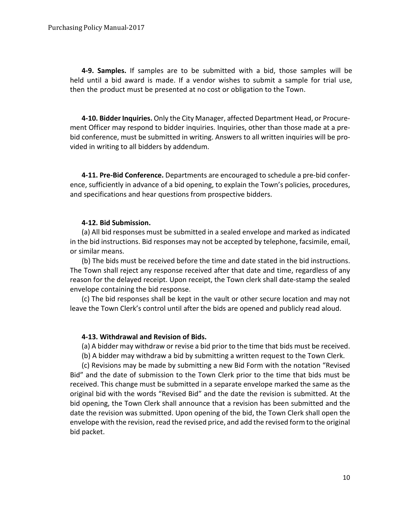**4-9. Samples.** If samples are to be submitted with a bid, those samples will be held until a bid award is made. If a vendor wishes to submit a sample for trial use, then the product must be presented at no cost or obligation to the Town.

**4-10. Bidder Inquiries.** Only the City Manager, affected Department Head, or Procurement Officer may respond to bidder inquiries. Inquiries, other than those made at a prebid conference, must be submitted in writing. Answers to all written inquiries will be provided in writing to all bidders by addendum.

**4-11. Pre-Bid Conference.** Departments are encouraged to schedule a pre-bid conference, sufficiently in advance of a bid opening, to explain the Town's policies, procedures, and specifications and hear questions from prospective bidders.

### **4-12. Bid Submission.**

(a) All bid responses must be submitted in a sealed envelope and marked as indicated in the bid instructions. Bid responses may not be accepted by telephone, facsimile, email, or similar means.

(b) The bids must be received before the time and date stated in the bid instructions. The Town shall reject any response received after that date and time, regardless of any reason for the delayed receipt. Upon receipt, the Town clerk shall date-stamp the sealed envelope containing the bid response.

(c) The bid responses shall be kept in the vault or other secure location and may not leave the Town Clerk's control until after the bids are opened and publicly read aloud.

### **4-13. Withdrawal and Revision of Bids.**

(a) A bidder may withdraw or revise a bid prior to the time that bids must be received.

(b) A bidder may withdraw a bid by submitting a written request to the Town Clerk.

(c) Revisions may be made by submitting a new Bid Form with the notation "Revised Bid" and the date of submission to the Town Clerk prior to the time that bids must be received. This change must be submitted in a separate envelope marked the same as the original bid with the words "Revised Bid" and the date the revision is submitted. At the bid opening, the Town Clerk shall announce that a revision has been submitted and the date the revision was submitted. Upon opening of the bid, the Town Clerk shall open the envelope with the revision, read the revised price, and add the revised form to the original bid packet.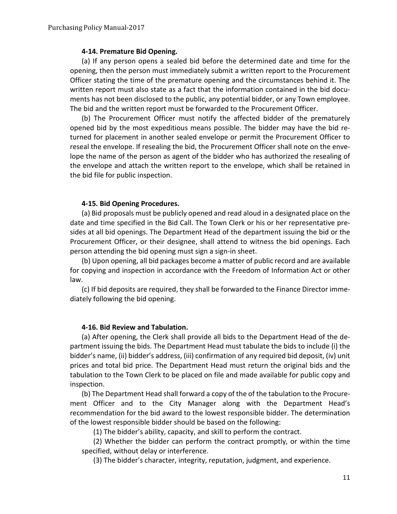### **4-14. Premature Bid Opening.**

(a) If any person opens a sealed bid before the determined date and time for the opening, then the person must immediately submit a written report to the Procurement Officer stating the time of the premature opening and the circumstances behind it. The written report must also state as a fact that the information contained in the bid documents has not been disclosed to the public, any potential bidder, or any Town employee. The bid and the written report must be forwarded to the Procurement Officer.

(b) The Procurement Officer must notify the affected bidder of the prematurely opened bid by the most expeditious means possible. The bidder may have the bid returned for placement in another sealed envelope or permit the Procurement Officer to reseal the envelope. If resealing the bid, the Procurement Officer shall note on the envelope the name of the person as agent of the bidder who has authorized the resealing of the envelope and attach the written report to the envelope, which shall be retained in the bid file for public inspection.

### **4-15. Bid Opening Procedures.**

(a) Bid proposals must be publicly opened and read aloud in a designated place on the date and time specified in the Bid Call. The Town Clerk or his or her representative presides at all bid openings. The Department Head of the department issuing the bid or the Procurement Officer, or their designee, shall attend to witness the bid openings. Each person attending the bid opening must sign a sign-in sheet.

(b) Upon opening, all bid packages become a matter of public record and are available for copying and inspection in accordance with the Freedom of Information Act or other law.

(c) If bid deposits are required, they shall be forwarded to the Finance Director immediately following the bid opening.

### **4-16. Bid Review and Tabulation.**

(a) After opening, the Clerk shall provide all bids to the Department Head of the department issuing the bids. The Department Head must tabulate the bids to include (i) the bidder's name, (ii) bidder's address, (iii) confirmation of any required bid deposit, (iv) unit prices and total bid price. The Department Head must return the original bids and the tabulation to the Town Clerk to be placed on file and made available for public copy and inspection.

(b) The Department Head shall forward a copy of the of the tabulation to the Procurement Officer and to the City Manager along with the Department Head's recommendation for the bid award to the lowest responsible bidder. The determination of the lowest responsible bidder should be based on the following:

(1) The bidder's ability, capacity, and skill to perform the contract.

(2) Whether the bidder can perform the contract promptly, or within the time specified, without delay or interference.

(3) The bidder's character, integrity, reputation, judgment, and experience.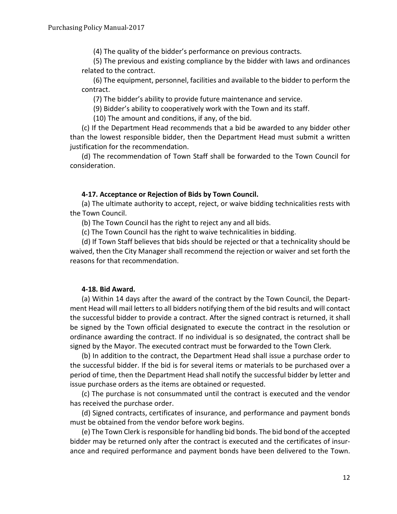(4) The quality of the bidder's performance on previous contracts.

(5) The previous and existing compliance by the bidder with laws and ordinances related to the contract.

(6) The equipment, personnel, facilities and available to the bidder to perform the contract.

(7) The bidder's ability to provide future maintenance and service.

(9) Bidder's ability to cooperatively work with the Town and its staff.

(10) The amount and conditions, if any, of the bid.

(c) If the Department Head recommends that a bid be awarded to any bidder other than the lowest responsible bidder, then the Department Head must submit a written justification for the recommendation.

(d) The recommendation of Town Staff shall be forwarded to the Town Council for consideration.

### **4-17. Acceptance or Rejection of Bids by Town Council.**

(a) The ultimate authority to accept, reject, or waive bidding technicalities rests with the Town Council.

(b) The Town Council has the right to reject any and all bids.

(c) The Town Council has the right to waive technicalities in bidding.

(d) If Town Staff believes that bids should be rejected or that a technicality should be waived, then the City Manager shall recommend the rejection or waiver and set forth the reasons for that recommendation.

### **4-18. Bid Award.**

(a) Within 14 days after the award of the contract by the Town Council, the Department Head will mail letters to all bidders notifying them of the bid results and will contact the successful bidder to provide a contract. After the signed contract is returned, it shall be signed by the Town official designated to execute the contract in the resolution or ordinance awarding the contract. If no individual is so designated, the contract shall be signed by the Mayor. The executed contract must be forwarded to the Town Clerk.

(b) In addition to the contract, the Department Head shall issue a purchase order to the successful bidder. If the bid is for several items or materials to be purchased over a period of time, then the Department Head shall notify the successful bidder by letter and issue purchase orders as the items are obtained or requested.

(c) The purchase is not consummated until the contract is executed and the vendor has received the purchase order.

(d) Signed contracts, certificates of insurance, and performance and payment bonds must be obtained from the vendor before work begins.

(e) The Town Clerk is responsible for handling bid bonds. The bid bond of the accepted bidder may be returned only after the contract is executed and the certificates of insurance and required performance and payment bonds have been delivered to the Town.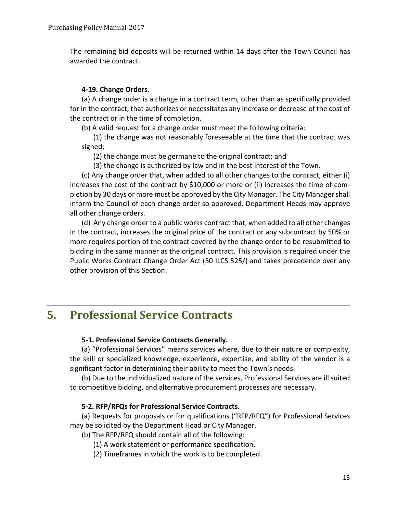The remaining bid deposits will be returned within 14 days after the Town Council has awarded the contract.

### **4-19. Change Orders.**

(a) A change order is a change in a contract term, other than as specifically provided for in the contract, that authorizes or necessitates any increase or decrease of the cost of the contract or in the time of completion.

(b) A valid request for a change order must meet the following criteria:

(1) the change was not reasonably foreseeable at the time that the contract was signed;

(2) the change must be germane to the original contract; and

(3) the change is authorized by law and in the best interest of the Town.

(c) Any change order that, when added to all other changes to the contract, either (i) increases the cost of the contract by \$10,000 or more or (ii) increases the time of completion by 30 days or more must be approved by the City Manager. The City Manager shall inform the Council of each change order so approved. Department Heads may approve all other change orders.

(d) Any change order to a public works contract that, when added to all other changes in the contract, increases the original price of the contract or any subcontract by 50% or more requires portion of the contract covered by the change order to be resubmitted to bidding in the same manner as the original contract. This provision is required under the Public Works Contract Change Order Act (50 ILCS 525/) and takes precedence over any other provision of this Section.

### **5. Professional Service Contracts**

### **5-1. Professional Service Contracts Generally.**

(a) "Professional Services" means services where, due to their nature or complexity, the skill or specialized knowledge, experience, expertise, and ability of the vendor is a significant factor in determining their ability to meet the Town's needs.

(b) Due to the individualized nature of the services, Professional Services are ill suited to competitive bidding, and alternative procurement processes are necessary.

### **5-2. RFP/RFQs for Professional Service Contracts.**

(a) Requests for proposals or for qualifications ("RFP/RFQ") for Professional Services may be solicited by the Department Head or City Manager.

(b) The RFP/RFQ should contain all of the following:

(1) A work statement or performance specification.

(2) Timeframes in which the work is to be completed.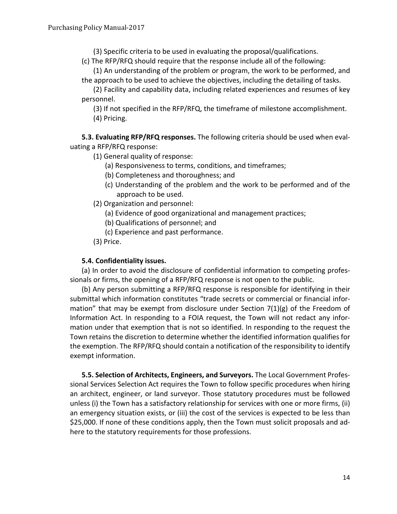(3) Specific criteria to be used in evaluating the proposal/qualifications.

(c) The RFP/RFQ should require that the response include all of the following:

(1) An understanding of the problem or program, the work to be performed, and the approach to be used to achieve the objectives, including the detailing of tasks.

(2) Facility and capability data, including related experiences and resumes of key personnel.

(3) If not specified in the RFP/RFQ, the timeframe of milestone accomplishment. (4) Pricing.

**5.3. Evaluating RFP/RFQ responses.** The following criteria should be used when evaluating a RFP/RFQ response:

- (1) General quality of response:
	- (a) Responsiveness to terms, conditions, and timeframes;
	- (b) Completeness and thoroughness; and
	- (c) Understanding of the problem and the work to be performed and of the approach to be used.
- (2) Organization and personnel:
	- (a) Evidence of good organizational and management practices;
	- (b) Qualifications of personnel; and
	- (c) Experience and past performance.
- (3) Price.

### **5.4. Confidentiality issues.**

(a) In order to avoid the disclosure of confidential information to competing professionals or firms, the opening of a RFP/RFQ response is not open to the public.

(b) Any person submitting a RFP/RFQ response is responsible for identifying in their submittal which information constitutes "trade secrets or commercial or financial information" that may be exempt from disclosure under Section  $7(1)(g)$  of the Freedom of Information Act. In responding to a FOIA request, the Town will not redact any information under that exemption that is not so identified. In responding to the request the Town retains the discretion to determine whether the identified information qualifies for the exemption. The RFP/RFQ should contain a notification of the responsibility to identify exempt information.

**5.5. Selection of Architects, Engineers, and Surveyors.** The Local Government Professional Services Selection Act requires the Town to follow specific procedures when hiring an architect, engineer, or land surveyor. Those statutory procedures must be followed unless (i) the Town has a satisfactory relationship for services with one or more firms, (ii) an emergency situation exists, or (iii) the cost of the services is expected to be less than \$25,000. If none of these conditions apply, then the Town must solicit proposals and adhere to the statutory requirements for those professions.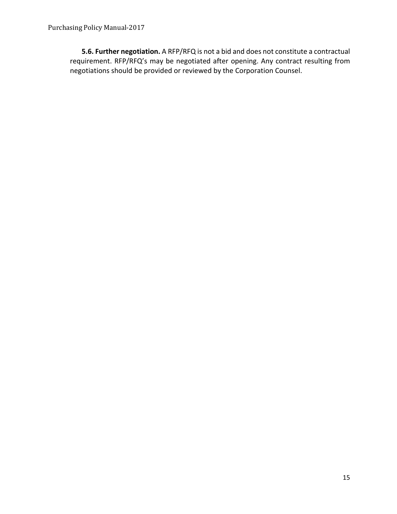**5.6. Further negotiation.** A RFP/RFQ is not a bid and does not constitute a contractual requirement. RFP/RFQ's may be negotiated after opening. Any contract resulting from negotiations should be provided or reviewed by the Corporation Counsel.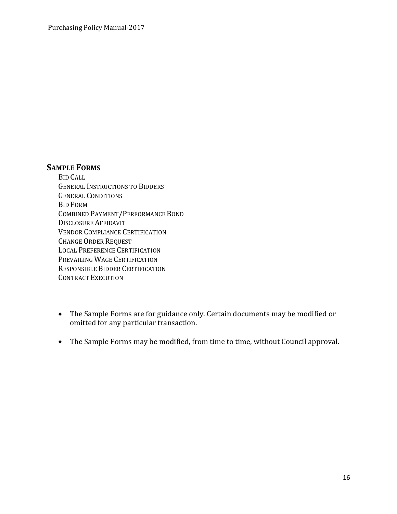### **SAMPLE FORMS**

BID CALL GENERAL INSTRUCTIONS TO BIDDERS GENERAL CONDITIONS BID FORM COMBINED PAYMENT/PERFORMANCE BOND DISCLOSURE AFFIDAVIT VENDOR COMPLIANCE CERTIFICATION CHANGE ORDER REQUEST LOCAL PREFERENCE CERTIFICATION PREVAILING WAGE CERTIFICATION RESPONSIBLE BIDDER CERTIFICATION CONTRACT EXECUTION

- The Sample Forms are for guidance only. Certain documents may be modified or omitted for any particular transaction.
- The Sample Forms may be modified, from time to time, without Council approval.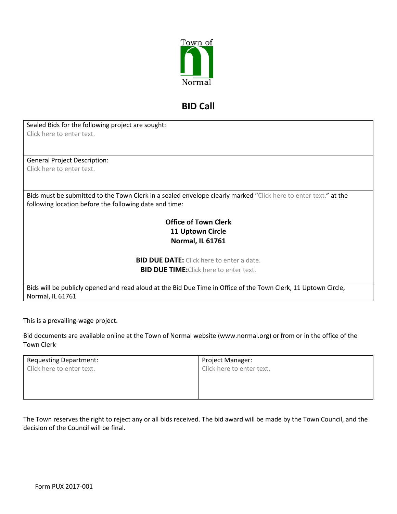

### **BID Call**

Sealed Bids for the following project are sought: Click here to enter text.

General Project Description: Click here to enter text.

Bids must be submitted to the Town Clerk in a sealed envelope clearly marked "Click here to enter text." at the following location before the following date and time:

### **Office of Town Clerk 11 Uptown Circle Normal, IL 61761**

**BID DUE DATE:** Click here to enter a date. **BID DUE TIME:**Click here to enter text.

Bids will be publicly opened and read aloud at the Bid Due Time in Office of the Town Clerk, 11 Uptown Circle, Normal, IL 61761

This is a prevailing-wage project.

Bid documents are available online at the Town of Normal website (www.normal.org) or from or in the office of the Town Clerk

| <b>Requesting Department:</b> | Project Manager:          |
|-------------------------------|---------------------------|
| Click here to enter text.     | Click here to enter text. |
|                               |                           |
|                               |                           |
|                               |                           |

The Town reserves the right to reject any or all bids received. The bid award will be made by the Town Council, and the decision of the Council will be final.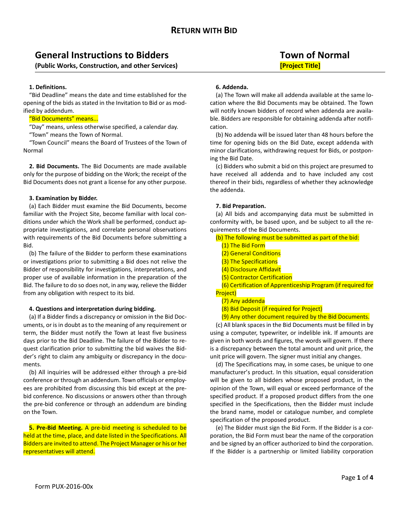### **General Instructions to Bidders Town of Normal**

**(Public Works, Construction, and other Services) [Project Title]**

### **1. Definitions.**

"Bid Deadline" means the date and time established for the opening of the bids as stated in the Invitation to Bid or as modified by addendum.

### "Bid Documents" means...

"Day" means, unless otherwise specified, a calendar day.

"Town" means the Town of Normal.

"Town Council" means the Board of Trustees of the Town of Normal

**2. Bid Documents.** The Bid Documents are made available only for the purpose of bidding on the Work; the receipt of the Bid Documents does not grant a license for any other purpose.

### **3. Examination by Bidder.**

(a) Each Bidder must examine the Bid Documents, become familiar with the Project Site, become familiar with local conditions under which the Work shall be performed, conduct appropriate investigations, and correlate personal observations with requirements of the Bid Documents before submitting a Bid.

(b) The failure of the Bidder to perform these examinations or investigations prior to submitting a Bid does not relive the Bidder of responsibility for investigations, interpretations, and proper use of available information in the preparation of the Bid. The failure to do so does not, in any way, relieve the Bidder from any obligation with respect to its bid.

### **4. Questions and interpretation during bidding.**

(a) If a Bidder finds a discrepancy or omission in the Bid Documents, or is in doubt as to the meaning of any requirement or term, the Bidder must notify the Town at least five business days prior to the Bid Deadline. The failure of the Bidder to request clarification prior to submitting the bid waives the Bidder's right to claim any ambiguity or discrepancy in the documents.

(b) All inquiries will be addressed either through a pre-bid conference or through an addendum. Town officials or employees are prohibited from discussing this bid except at the prebid conference. No discussions or answers other than through the pre-bid conference or through an addendum are binding on the Town.

**5. Pre-Bid Meeting.** A pre-bid meeting is scheduled to be held at the time, place, and date listed in the Specifications. All Bidders are invited to attend. The Project Manager or his or her representatives will attend.

### **6. Addenda.**

(a) The Town will make all addenda available at the same location where the Bid Documents may be obtained. The Town will notify known bidders of record when addenda are available. Bidders are responsible for obtaining addenda after notification.

(b) No addenda will be issued later than 48 hours before the time for opening bids on the Bid Date, except addenda with minor clarifications, withdrawing request for Bids, or postponing the Bid Date.

(c) Bidders who submit a bid on this project are presumed to have received all addenda and to have included any cost thereof in their bids, regardless of whether they acknowledge the addenda.

### **7. Bid Preparation.**

(a) All bids and accompanying data must be submitted in conformity with, be based upon, and be subject to all the requirements of the Bid Documents.

(b) The following must be submitted as part of the bid:

- (1) The Bid Form
- (2) General Conditions
- (3) The Specifications
- (4) Disclosure Affidavit
- (5) Contractor Certification

(6) Certification of Apprenticeship Program (if required for Project)

- (7) Any addenda
- (8) Bid Deposit (if required for Project)
- (9) Any other document required by the Bid Documents.

(c) All blank spaces in the Bid Documents must be filled in by using a computer, typewriter, or indelible ink. If amounts are given in both words and figures, the words will govern. If there is a discrepancy between the total amount and unit price, the unit price will govern. The signer must initial any changes.

(d) The Specifications may, in some cases, be unique to one manufacturer's product. In this situation, equal consideration will be given to all bidders whose proposed product, in the opinion of the Town, will equal or exceed performance of the specified product. If a proposed product differs from the one specified in the Specifications, then the Bidder must include the brand name, model or catalogue number, and complete specification of the proposed product.

(e) The Bidder must sign the Bid Form. If the Bidder is a corporation, the Bid Form must bear the name of the corporation and be signed by an officer authorized to bind the corporation. If the Bidder is a partnership or limited liability corporation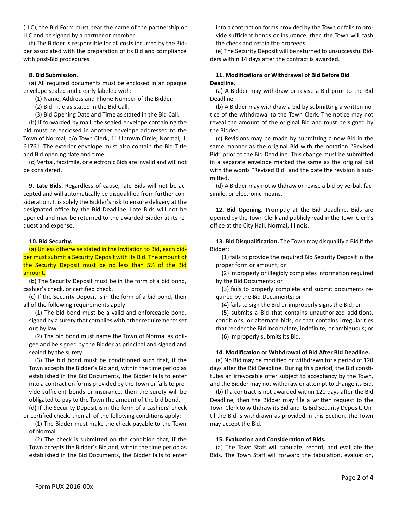(LLC), the Bid Form must bear the name of the partnership or LLC and be signed by a partner or member.

(f) The Bidder is responsible for all costs incurred by the Bidder associated with the preparation of its Bid and compliance with post-Bid procedures.

### **8. Bid Submission.**

(a) All required documents must be enclosed in an opaque envelope sealed and clearly labeled with:

(1) Name, Address and Phone Number of the Bidder.

(2) Bid Title as stated in the Bid Call.

(3) Bid Opening Date and Time as stated in the Bid Call.

(b) If forwarded by mail, the sealed envelope containing the bid must be enclosed in another envelope addressed to the Town of Normal, c/o Town Clerk, 11 Uptown Circle, Normal, IL 61761. The exterior envelope must also contain the Bid Title and Bid opening date and time.

(c) Verbal, facsimile, or electronic Bids are invalid and will not be considered.

**9. Late Bids.** Regardless of cause, late Bids will not be accepted and will automatically be disqualified from further consideration. It is solely the Bidder's risk to ensure delivery at the designated office by the Bid Deadline. Late Bids will not be opened and may be returned to the awarded Bidder at its request and expense.

#### **10. Bid Security.**

(a) Unless otherwise stated in the Invitation to Bid, each bidder must submit a Security Deposit with its Bid. The amount of the Security Deposit must be no less than 5% of the Bid amount.

(b) The Security Deposit must be in the form of a bid bond, cashier's check, or certified check.

(c) If the Security Deposit is in the form of a bid bond, then all of the following requirements apply:

(1) The bid bond must be a valid and enforceable bond, signed by a surety that complies with other requirements set out by law.

(2) The bid bond must name the Town of Normal as obligee and be signed by the Bidder as principal and signed and sealed by the surety.

(3) The bid bond must be conditioned such that, if the Town accepts the Bidder's Bid and, within the time period as established in the Bid Documents, the Bidder fails to enter into a contract on forms provided by the Town or fails to provide sufficient bonds or insurance, then the surety will be obligated to pay to the Town the amount of the bid bond.

(d) If the Security Deposit is in the form of a cashiers' check or certified check, then all of the following conditions apply:

(1) The Bidder must make the check payable to the Town of Normal.

(2) The check is submitted on the condition that, if the Town accepts the Bidder's Bid and, within the time period as established in the Bid Documents, the Bidder fails to enter into a contract on forms provided by the Town or fails to provide sufficient bonds or insurance, then the Town will cash the check and retain the proceeds.

(e) The Security Deposit will be returned to unsuccessful Bidders within 14 days after the contract is awarded.

### **11. Modifications or Withdrawal of Bid Before Bid Deadline.**

(a) A Bidder may withdraw or revise a Bid prior to the Bid Deadline.

(b) A Bidder may withdraw a bid by submitting a written notice of the withdrawal to the Town Clerk. The notice may not reveal the amount of the original Bid and must be signed by the Bidder.

(c) Revisions may be made by submitting a new Bid in the same manner as the original Bid with the notation "Revised Bid" prior to the Bid Deadline. This change must be submitted in a separate envelope marked the same as the original bid with the words "Revised Bid" and the date the revision is submitted.

(d) A Bidder may not withdraw or revise a bid by verbal, facsimile, or electronic means.

**12. Bid Opening.** Promptly at the Bid Deadline, Bids are opened by the Town Clerk and publicly read in the Town Clerk's office at the City Hall, Normal, Illinois.

**13. Bid Disqualification.** The Town may disqualify a Bid if the Bidder:

(1) fails to provide the required Bid Security Deposit in the proper form or amount; or

(2) improperly or illegibly completes information required by the Bid Documents; or

(3) fails to properly complete and submit documents required by the Bid Documents; or

(4) fails to sign the Bid or improperly signs the Bid; or

(5) submits a Bid that contains unauthorized additions, conditions, or alternate bids, or that contains irregularities that render the Bid incomplete, indefinite, or ambiguous; or

(6) improperly submits its Bid.

#### **14. Modification or Withdrawal of Bid After Bid Deadline.**

(a) No Bid may be modified or withdrawn for a period of 120 days after the Bid Deadline. During this period, the Bid constitutes an irrevocable offer subject to acceptancy by the Town, and the Bidder may not withdraw or attempt to change its Bid.

(b) If a contract is not awarded within 120 days after the Bid Deadline, then the Bidder may file a written request to the Town Clerk to withdraw its Bid and its Bid Security Deposit. Until the Bid is withdrawn as provided in this Section, the Town may accept the Bid.

### **15. Evaluation and Consideration of Bids.**

(a) The Town Staff will tabulate, record, and evaluate the Bids. The Town Staff will forward the tabulation, evaluation,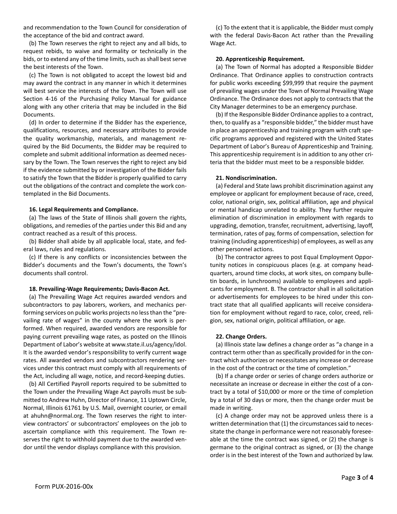and recommendation to the Town Council for consideration of the acceptance of the bid and contract award.

(b) The Town reserves the right to reject any and all bids, to request rebids, to waive and formality or technically in the bids, or to extend any of the time limits, such as shall best serve the best interests of the Town.

(c) The Town is not obligated to accept the lowest bid and may award the contract in any manner in which it determines will best service the interests of the Town. The Town will use Section 4-16 of the Purchasing Policy Manual for guidance along with any other criteria that may be included in the Bid Documents.

(d) In order to determine if the Bidder has the experience, qualifications, resources, and necessary attributes to provide the quality workmanship, materials, and management required by the Bid Documents, the Bidder may be required to complete and submit additional information as deemed necessary by the Town. The Town reserves the right to reject any bid if the evidence submitted by or investigation of the Bidder fails to satisfy the Town that the Bidder is properly qualified to carry out the obligations of the contract and complete the work contemplated in the Bid Documents.

#### **16. Legal Requirements and Compliance.**

(a) The laws of the State of Illinois shall govern the rights, obligations, and remedies of the parties under this Bid and any contract reached as a result of this process.

(b) Bidder shall abide by all applicable local, state, and federal laws, rules and regulations.

(c) If there is any conflicts or inconsistencies between the Bidder's documents and the Town's documents, the Town's documents shall control.

#### **18. Prevailing-Wage Requirements; Davis-Bacon Act.**

(a) The Prevailing Wage Act requires awarded vendors and subcontractors to pay laborers, workers, and mechanics performing services on public works projects no less than the "prevailing rate of wages" in the county where the work is performed. When required, awarded vendors are responsible for paying current prevailing wage rates, as posted on the Illinois Department of Labor's website at www.state.il.us/agency/idol. It is the awarded vendor's responsibility to verify current wage rates. All awarded vendors and subcontractors rendering services under this contract must comply with all requirements of the Act, including all wage, notice, and record-keeping duties.

(b) All Certified Payroll reports required to be submitted to the Town under the Prevailing Wage Act payrolls must be submitted to Andrew Huhn, Director of Finance, 11 Uptown Circle, Normal, Illinois 61761 by U.S. Mail, overnight courier, or email at ahuhn@normal.org. The Town reserves the right to interview contractors' or subcontractors' employees on the job to ascertain compliance with this requirement. The Town reserves the right to withhold payment due to the awarded vendor until the vendor displays compliance with this provision.

(c) To the extent that it is applicable, the Bidder must comply with the federal Davis-Bacon Act rather than the Prevailing Wage Act.

#### **20. Apprenticeship Requirement.**

(a) The Town of Normal has adopted a Responsible Bidder Ordinance. That Ordinance applies to construction contracts for public works exceeding \$99,999 that require the payment of prevailing wages under the Town of Normal Prevailing Wage Ordinance. The Ordinance does not apply to contracts that the City Manager determines to be an emergency purchase.

(b) If the Responsible Bidder Ordinance applies to a contract, then, to qualify as a "responsible bidder," the bidder must have in place an apprenticeship and training program with craft specific programs approved and registered with the United States Department of Labor's Bureau of Apprenticeship and Training. This apprenticeship requirement is in addition to any other criteria that the bidder must meet to be a responsible bidder.

#### **21. Nondiscrimination.**

(a) Federal and State laws prohibit discrimination against any employee or applicant for employment because of race, creed, color, national origin, sex, political affiliation, age and physical or mental handicap unrelated to ability. They further require elimination of discrimination in employment with regards to upgrading, demotion, transfer, recruitment, advertising, layoff, termination, rates of pay, forms of compensation, selection for training (including apprenticeship) of employees, as well as any other personnel actions.

(b) The contractor agrees to post Equal Employment Opportunity notices in conspicuous places (e.g. at company headquarters, around time clocks, at work sites, on company bulletin boards, in lunchrooms) available to employees and applicants for employment. B. The contractor shall in all solicitation or advertisements for employees to be hired under this contract state that all qualified applicants will receive consideration for employment without regard to race, color, creed, religion, sex, national origin, political affiliation, or age.

#### **22. Change Orders.**

(a) Illinois state law defines a change order as "a change in a contract term other than as specifically provided for in the contract which authorizes or necessitates any increase or decrease in the cost of the contract or the time of completion."

(b) If a change order or series of change orders authorize or necessitate an increase or decrease in either the cost of a contract by a total of \$10,000 or more or the time of completion by a total of 30 days or more, then the change order must be made in writing.

(c) A change order may not be approved unless there is a written determination that (1) the circumstances said to necessitate the change in performance were not reasonably foreseeable at the time the contract was signed, or (2) the change is germane to the original contract as signed, or (3) the change order is in the best interest of the Town and authorized by law.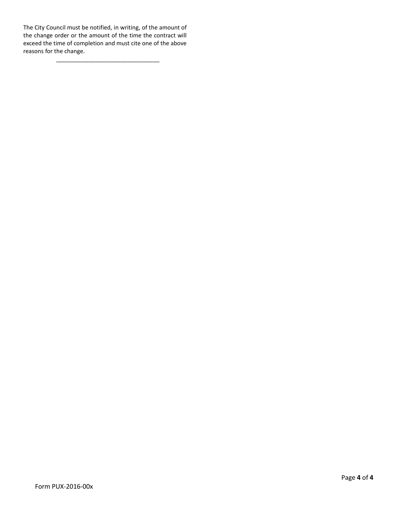The City Council must be notified, in writing, of the amount of the change order or the amount of the time the contract will exceed the time of completion and must cite one of the above reasons for the change.

\_\_\_\_\_\_\_\_\_\_\_\_\_\_\_\_\_\_\_\_\_\_\_\_\_\_\_\_\_\_\_\_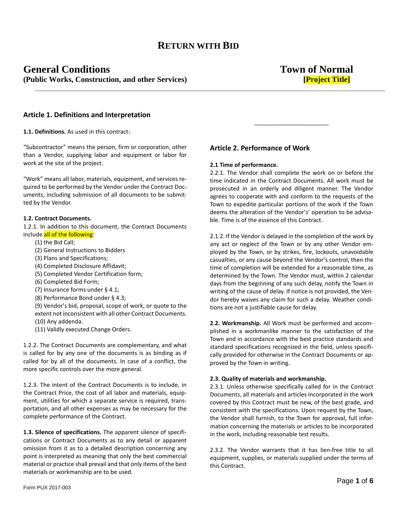### **General Conditions Town of Normal (Public Works, Construction, and other Services) [Project Title]**

### **Article 1. Definitions and Interpretation**

**1.1. Definitions.** As used in this contract:

"Subcontractor" means the person, firm or corporation, other than a Vendor, supplying labor and equipment or labor for work at the site of the project.

"Work" means all labor, materials, equipment, and services required to be performed by the Vendor under the Contract Documents, including submission of all documents to be submitted by the Vendor.

### **1.2. Contract Documents.**

1.2.1. In addition to this document, the Contract Documents include all of the following:

- (1) the Bid Call;
- (2) General Instructions to Bidders
- (3) Plans and Specifications;
- (4) Completed Disclosure Affidavit;
- (5) Completed Vendor Certification form;
- (6) Completed Bid Form;
- (7) Insurance forms under § 4.1;
- (8) Performance Bond under § 4.3;

(9) Vendor's bid, proposal, scope of work, or quote to the extent not inconsistent with all other Contract Documents. (10) Any addenda.

(11) Validly executed Change Orders.

1.2.2. The Contract Documents are complementary, and what is called for by any one of the documents is as binding as if called for by all of the documents. In case of a conflict, the more specific controls over the more general.

1.2.3. The intent of the Contract Documents is to include, in the Contract Price, the cost of all labor and materials, equipment, utilities for which a separate service is required, transportation, and all other expenses as may be necessary for the complete performance of the Contract.

**1.3. Silence of specifications.** The apparent silence of specifications or Contract Documents as to any detail or apparent omission from it as to a detailed description concerning any point is interpreted as meaning that only the best commercial material or practice shall prevail and that only items of the best materials or workmanship are to be used.

### **Article 2. Performance of Work**

#### **2.1 Time of performance.**

2.2.1. The Vendor shall complete the work on or before the time indicated in the Contract Documents. All work must be prosecuted in an orderly and diligent manner. The Vendor agrees to cooperate with and conform to the requests of the Town to expedite particular portions of the work if the Town deems the alteration of the Vendor's' operation to be advisable. Time is of the essence of this Contract.

\_\_\_\_\_\_\_\_\_\_\_\_\_\_\_\_\_\_\_\_\_\_\_

2.1.2. If the Vendor is delayed in the completion of the work by any act or neglect of the Town or by any other Vendor employed by the Town, or by strikes, fire, lockouts, unavoidable casualties, or any cause beyond the Vendor's control, then the time of completion will be extended for a reasonable time, as determined by the Town. The Vendor must, within 2 calendar days from the beginning of any such delay, notify the Town in writing of the cause of delay. If notice is not provided, the Vendor hereby waives any claim for such a delay. Weather conditions are not a justifiable cause for delay.

**2.2. Workmanship.** All Work must be performed and accomplished in a workmanlike manner to the satisfaction of the Town and in accordance with the best practice standards and standard specifications recognized in the field, unless specifically provided for otherwise in the Contract Documents or approved by the Town in writing.

#### **2.3. Quality of materials and workmanship.**

2.3.1. Unless otherwise specifically called for in the Contract Documents, all materials and articles incorporated in the work covered by this Contract must be new, of the best grade, and consistent with the specifications. Upon request by the Town, the Vendor shall furnish, to the Town for approval, full information concerning the materials or articles to be incorporated in the work, including reasonable test results.

2.3.2. The Vendor warrants that it has lien-free title to all equipment, supplies, or materials supplied under the terms of this Contract.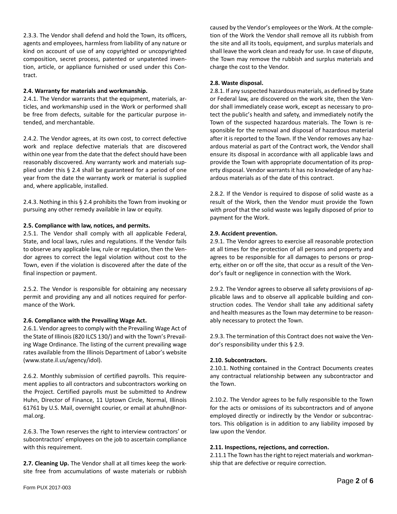2.3.3. The Vendor shall defend and hold the Town, its officers, agents and employees, harmless from liability of any nature or kind on account of use of any copyrighted or uncopyrighted composition, secret process, patented or unpatented invention, article, or appliance furnished or used under this Contract.

### **2.4. Warranty for materials and workmanship.**

2.4.1. The Vendor warrants that the equipment, materials, articles, and workmanship used in the Work or performed shall be free from defects, suitable for the particular purpose intended, and merchantable.

2.4.2. The Vendor agrees, at its own cost, to correct defective work and replace defective materials that are discovered within one year from the date that the defect should have been reasonably discovered. Any warranty work and materials supplied under this § 2.4 shall be guaranteed for a period of one year from the date the warranty work or material is supplied and, where applicable, installed.

2.4.3. Nothing in this § 2.4 prohibits the Town from invoking or pursuing any other remedy available in law or equity.

### **2.5. Compliance with law, notices, and permits.**

2.5.1. The Vendor shall comply with all applicable Federal, State, and local laws, rules and regulations. If the Vendor fails to observe any applicable law, rule or regulation, then the Vendor agrees to correct the legal violation without cost to the Town, even if the violation is discovered after the date of the final inspection or payment.

2.5.2. The Vendor is responsible for obtaining any necessary permit and providing any and all notices required for performance of the Work.

#### **2.6. Compliance with the Prevailing Wage Act.**

2.6.1. Vendor agrees to comply with the Prevailing Wage Act of the State of Illinois (820 ILCS 130/) and with the Town's Prevailing Wage Ordinance. The listing of the current prevailing wage rates available from the Illinois Department of Labor's website (www.state.il.us/agency/idol).

2.6.2. Monthly submission of certified payrolls. This requirement applies to all contractors and subcontractors working on the Project. Certified payrolls must be submitted to Andrew Huhn, Director of Finance, 11 Uptown Circle, Normal, Illinois 61761 by U.S. Mail, overnight courier, or email at ahuhn@normal.org.

2.6.3. The Town reserves the right to interview contractors' or subcontractors' employees on the job to ascertain compliance with this requirement.

**2.7. Cleaning Up.** The Vendor shall at all times keep the worksite free from accumulations of waste materials or rubbish

caused by the Vendor's employees or the Work. At the completion of the Work the Vendor shall remove all its rubbish from the site and all its tools, equipment, and surplus materials and shall leave the work clean and ready for use. In case of dispute, the Town may remove the rubbish and surplus materials and charge the cost to the Vendor.

#### **2.8. Waste disposal.**

2.8.1. If any suspected hazardous materials, as defined by State or Federal law, are discovered on the work site, then the Vendor shall immediately cease work, except as necessary to protect the public's health and safety, and immediately notify the Town of the suspected hazardous materials. The Town is responsible for the removal and disposal of hazardous material after it is reported to the Town. If the Vendor removes any hazardous material as part of the Contract work, the Vendor shall ensure its disposal in accordance with all applicable laws and provide the Town with appropriate documentation of its property disposal. Vendor warrants it has no knowledge of any hazardous materials as of the date of this contract.

2.8.2. If the Vendor is required to dispose of solid waste as a result of the Work, then the Vendor must provide the Town with proof that the solid waste was legally disposed of prior to payment for the Work.

### **2.9. Accident prevention.**

2.9.1. The Vendor agrees to exercise all reasonable protection at all times for the protection of all persons and property and agrees to be responsible for all damages to persons or property, either on or off the site, that occur as a result of the Vendor's fault or negligence in connection with the Work.

2.9.2. The Vendor agrees to observe all safety provisions of applicable laws and to observe all applicable building and construction codes. The Vendor shall take any additional safety and health measures as the Town may determine to be reasonably necessary to protect the Town.

2.9.3. The termination of this Contract does not waive the Vendor's responsibility under this § 2.9.

### **2.10. Subcontractors.**

2.10.1. Nothing contained in the Contract Documents creates any contractual relationship between any subcontractor and the Town.

2.10.2. The Vendor agrees to be fully responsible to the Town for the acts or omissions of its subcontractors and of anyone employed directly or indirectly by the Vendor or subcontractors. This obligation is in addition to any liability imposed by law upon the Vendor.

#### **2.11. Inspections, rejections, and correction.**

2.11.1 The Town has the right to reject materials and workmanship that are defective or require correction.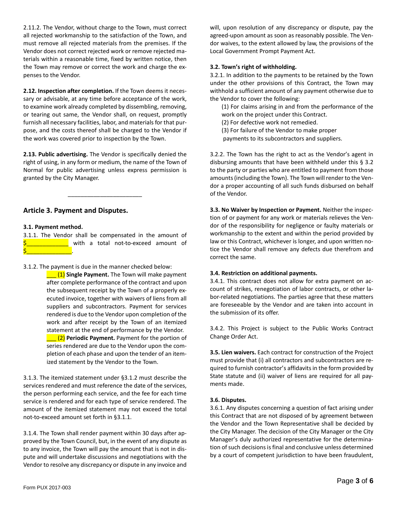2.11.2. The Vendor, without charge to the Town, must correct all rejected workmanship to the satisfaction of the Town, and must remove all rejected materials from the premises. If the Vendor does not correct rejected work or remove rejected materials within a reasonable time, fixed by written notice, then the Town may remove or correct the work and charge the expenses to the Vendor.

**2.12. Inspection after completion.** If the Town deems it necessary or advisable, at any time before acceptance of the work, to examine work already completed by dissembling, removing, or tearing out same, the Vendor shall, on request, promptly furnish all necessary facilities, labor, and materials for that purpose, and the costs thereof shall be charged to the Vendor if the work was covered prior to inspection by the Town.

**2.13. Public advertising.** The Vendor is specifically denied the right of using, in any form or medium, the name of the Town of Normal for public advertising unless express permission is granted by the City Manager.

\_\_\_\_\_\_\_\_\_\_\_\_\_\_\_\_\_\_\_\_\_\_\_

### **Article 3. Payment and Disputes.**

### **3.1. Payment method.**

3.1.1. The Vendor shall be compensated in the amount of with a total not-to-exceed amount of \$\_\_\_\_\_\_\_\_\_\_\_\_\_\_\_\_\_\_\_\_\_\_\_\_.

3.1.2. The payment is due in the manner checked below:

\_\_\_ (1) **Single Payment.** The Town will make payment after complete performance of the contract and upon the subsequent receipt by the Town of a properly executed invoice, together with waivers of liens from all suppliers and subcontractors. Payment for services rendered is due to the Vendor upon completion of the work and after receipt by the Town of an itemized statement at the end of performance by the Vendor. **1. (2) Periodic Payment.** Payment for the portion of series rendered are due to the Vendor upon the completion of each phase and upon the tender of an itemized statement by the Vendor to the Town.

3.1.3. The itemized statement under §3.1.2 must describe the services rendered and must reference the date of the services, the person performing each service, and the fee for each time service is rendered and for each type of service rendered. The amount of the itemized statement may not exceed the total not-to-exceed amount set forth in §3.1.1.

3.1.4. The Town shall render payment within 30 days after approved by the Town Council, but, in the event of any dispute as to any invoice, the Town will pay the amount that is not in dispute and will undertake discussions and negotiations with the Vendor to resolve any discrepancy or dispute in any invoice and will, upon resolution of any discrepancy or dispute, pay the agreed-upon amount as soon as reasonably possible. The Vendor waives, to the extent allowed by law, the provisions of the Local Government Prompt Payment Act.

### **3.2. Town's right of withholding.**

3.2.1. In addition to the payments to be retained by the Town under the other provisions of this Contract, the Town may withhold a sufficient amount of any payment otherwise due to the Vendor to cover the following:

(1) For claims arising in and from the performance of the work on the project under this Contract.

(2) For defective work not remedied.

(3) For failure of the Vendor to make proper

payments to its subcontractors and suppliers.

3.2.2. The Town has the right to act as the Vendor's agent in disbursing amounts that have been withheld under this § 3.2 to the party or parties who are entitled to payment from those amounts (including the Town). The Town will render to the Vendor a proper accounting of all such funds disbursed on behalf of the Vendor.

**3.3. No Waiver by Inspection or Payment.** Neither the inspection of or payment for any work or materials relieves the Vendor of the responsibility for negligence or faulty materials or workmanship to the extent and within the period provided by law or this Contract, whichever is longer, and upon written notice the Vendor shall remove any defects due therefrom and correct the same.

### **3.4. Restriction on additional payments.**

3.4.1. This contract does not allow for extra payment on account of strikes, renegotiation of labor contracts, or other labor-related negotiations. The parties agree that these matters are foreseeable by the Vendor and are taken into account in the submission of its offer.

3.4.2. This Project is subject to the Public Works Contract Change Order Act.

**3.5. Lien waivers.** Each contract for construction of the Project must provide that (i) all contractors and subcontractors are required to furnish contractor's affidavits in the form provided by State statute and (ii) waiver of liens are required for all payments made.

### **3.6. Disputes.**

3.6.1. Any disputes concerning a question of fact arising under this Contract that are not disposed of by agreement between the Vendor and the Town Representative shall be decided by the City Manager. The decision of the City Manager or the City Manager's duly authorized representative for the determination of such decisions is final and conclusive unless determined by a court of competent jurisdiction to have been fraudulent,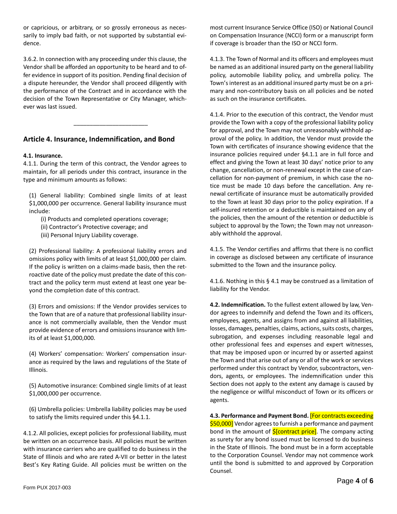or capricious, or arbitrary, or so grossly erroneous as necessarily to imply bad faith, or not supported by substantial evidence.

3.6.2. In connection with any proceeding under this clause, the Vendor shall be afforded an opportunity to be heard and to offer evidence in support of its position. Pending final decision of a dispute hereunder, the Vendor shall proceed diligently with the performance of the Contract and in accordance with the decision of the Town Representative or City Manager, whichever was last issued.

\_\_\_\_\_\_\_\_\_\_\_\_\_\_\_\_\_\_\_\_\_\_\_

### **Article 4. Insurance, Indemnification, and Bond**

### **4.1. Insurance.**

4.1.1. During the term of this contract, the Vendor agrees to maintain, for all periods under this contract, insurance in the type and minimum amounts as follows:

(1) General liability: Combined single limits of at least \$1,000,000 per occurrence. General liability insurance must include:

- (i) Products and completed operations coverage;
- (ii) Contractor's Protective coverage; and
- (iii) Personal Injury Liability coverage.

(2) Professional liability: A professional liability errors and omissions policy with limits of at least \$1,000,000 per claim. If the policy is written on a claims-made basis, then the retroactive date of the policy must predate the date of this contract and the policy term must extend at least one year beyond the completion date of this contract.

(3) Errors and omissions: If the Vendor provides services to the Town that are of a nature that professional liability insurance is not commercially available, then the Vendor must provide evidence of errors and omissions insurance with limits of at least \$1,000,000.

(4) Workers' compensation: Workers' compensation insurance as required by the laws and regulations of the State of Illinois.

(5) Automotive insurance: Combined single limits of at least \$1,000,000 per occurrence.

(6) Umbrella policies: Umbrella liability policies may be used to satisfy the limits required under this §4.1.1.

4.1.2. All policies, except policies for professional liability, must be written on an occurrence basis. All policies must be written with insurance carriers who are qualified to do business in the State of Illinois and who are rated A-VII or better in the latest Best's Key Rating Guide. All policies must be written on the

most current Insurance Service Office (ISO) or National Council on Compensation Insurance (NCCI) form or a manuscript form if coverage is broader than the ISO or NCCI form.

4.1.3. The Town of Normal and its officers and employees must be named as an additional insured party on the general liability policy, automobile liability policy, and umbrella policy. The Town's interest as an additional insured party must be on a primary and non-contributory basis on all policies and be noted as such on the insurance certificates.

4.1.4. Prior to the execution of this contract, the Vendor must provide the Town with a copy of the professional liability policy for approval, and the Town may not unreasonably withhold approval of the policy. In addition, the Vendor must provide the Town with certificates of insurance showing evidence that the insurance policies required under §4.1.1 are in full force and effect and giving the Town at least 30 days' notice prior to any change, cancellation, or non-renewal except in the case of cancellation for non-payment of premium, in which case the notice must be made 10 days before the cancellation. Any renewal certificate of insurance must be automatically provided to the Town at least 30 days prior to the policy expiration. If a self-insured retention or a deductible is maintained on any of the policies, then the amount of the retention or deductible is subject to approval by the Town; the Town may not unreasonably withhold the approval.

4.1.5. The Vendor certifies and affirms that there is no conflict in coverage as disclosed between any certificate of insurance submitted to the Town and the insurance policy.

4.1.6. Nothing in this § 4.1 may be construed as a limitation of liability for the Vendor.

**4.2. Indemnification.** To the fullest extent allowed by law, Vendor agrees to indemnify and defend the Town and its officers, employees, agents, and assigns from and against all liabilities, losses, damages, penalties, claims, actions, suits costs, charges, subrogation, and expenses including reasonable legal and other professional fees and expenses and expert witnesses, that may be imposed upon or incurred by or asserted against the Town and that arise out of any or all of the work or services performed under this contract by Vendor, subcontractors, vendors, agents, or employees. The indemnification under this Section does not apply to the extent any damage is caused by the negligence or willful misconduct of Town or its officers or agents.

**4.3. Performance and Payment Bond.** [For contracts exceeding \$50,000] Vendor agrees to furnish a performance and payment bond in the amount of  $$[contract price]$ . The company acting as surety for any bond issued must be licensed to do business in the State of Illinois. The bond must be in a form acceptable to the Corporation Counsel. Vendor may not commence work until the bond is submitted to and approved by Corporation Counsel.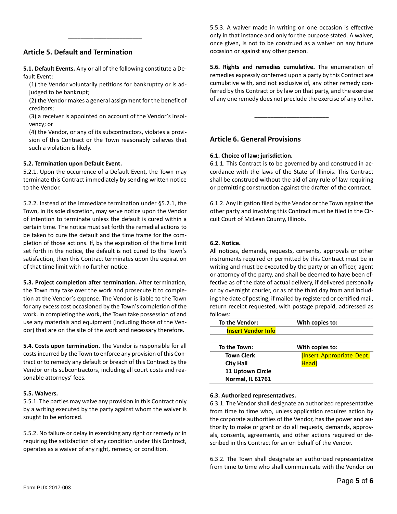### **Article 5. Default and Termination**

**5.1. Default Events.** Any or all of the following constitute a Default Event:

\_\_\_\_\_\_\_\_\_\_\_\_\_\_\_\_\_\_\_\_\_\_\_

(1) the Vendor voluntarily petitions for bankruptcy or is adjudged to be bankrupt;

(2) the Vendor makes a general assignment for the benefit of creditors;

(3) a receiver is appointed on account of the Vendor's insolvency; or

(4) the Vendor, or any of its subcontractors, violates a provision of this Contract or the Town reasonably believes that such a violation is likely.

### **5.2. Termination upon Default Event.**

5.2.1. Upon the occurrence of a Default Event, the Town may terminate this Contract immediately by sending written notice to the Vendor.

5.2.2. Instead of the immediate termination under §5.2.1, the Town, in its sole discretion, may serve notice upon the Vendor of intention to terminate unless the default is cured within a certain time. The notice must set forth the remedial actions to be taken to cure the default and the time frame for the completion of those actions. If, by the expiration of the time limit set forth in the notice, the default is not cured to the Town's satisfaction, then this Contract terminates upon the expiration of that time limit with no further notice.

**5.3. Project completion after termination.** After termination, the Town may take over the work and prosecute it to completion at the Vendor's expense. The Vendor is liable to the Town for any excess cost occasioned by the Town's completion of the work. In completing the work, the Town take possession of and use any materials and equipment (including those of the Vendor) that are on the site of the work and necessary therefore.

**5.4. Costs upon termination.** The Vendor is responsible for all costs incurred by the Town to enforce any provision of this Contract or to remedy any default or breach of this Contract by the Vendor or its subcontractors, including all court costs and reasonable attorneys' fees.

#### **5.5. Waivers.**

5.5.1. The parties may waive any provision in this Contract only by a writing executed by the party against whom the waiver is sought to be enforced.

5.5.2. No failure or delay in exercising any right or remedy or in requiring the satisfaction of any condition under this Contract, operates as a waiver of any right, remedy, or condition.

5.5.3. A waiver made in writing on one occasion is effective only in that instance and only for the purpose stated. A waiver, once given, is not to be construed as a waiver on any future occasion or against any other person.

**5.6. Rights and remedies cumulative.** The enumeration of remedies expressly conferred upon a party by this Contract are cumulative with, and not exclusive of, any other remedy conferred by this Contract or by law on that party, and the exercise of any one remedy does not preclude the exercise of any other.

\_\_\_\_\_\_\_\_\_\_\_\_\_\_\_\_\_\_\_\_\_\_\_

### **Article 6. General Provisions**

### **6.1. Choice of law; jurisdiction.**

6.1.1. This Contract is to be governed by and construed in accordance with the laws of the State of Illinois. This Contract shall be construed without the aid of any rule of law requiring or permitting construction against the drafter of the contract.

6.1.2. Any litigation filed by the Vendor or the Town against the other party and involving this Contract must be filed in the Circuit Court of McLean County, Illinois.

#### **6.2. Notice.**

All notices, demands, requests, consents, approvals or other instruments required or permitted by this Contract must be in writing and must be executed by the party or an officer, agent or attorney of the party, and shall be deemed to have been effective as of the date of actual delivery, if delivered personally or by overnight courier, or as of the third day from and including the date of posting, if mailed by registered or certified mail, return receipt requested, with postage prepaid, addressed as follows:

| To the Vendor:            | With copies to:                  |
|---------------------------|----------------------------------|
| <b>Insert Vendor Info</b> |                                  |
|                           |                                  |
| To the Town:              | With copies to:                  |
| <b>Town Clerk</b>         | <b>[Insert Appropriate Dept.</b> |
| <b>City Hall</b>          | Head]                            |
| <b>11 Uptown Circle</b>   |                                  |
| <b>Normal, IL 61761</b>   |                                  |

#### **6.3. Authorized representatives.**

6.3.1. The Vendor shall designate an authorized representative from time to time who, unless application requires action by the corporate authorities of the Vendor, has the power and authority to make or grant or do all requests, demands, approvals, consents, agreements, and other actions required or described in this Contract for an on behalf of the Vendor.

6.3.2. The Town shall designate an authorized representative from time to time who shall communicate with the Vendor on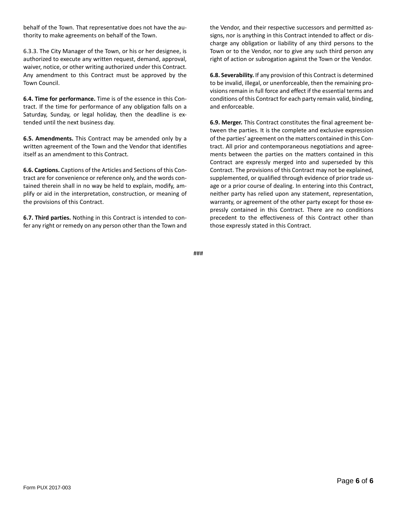behalf of the Town. That representative does not have the authority to make agreements on behalf of the Town.

6.3.3. The City Manager of the Town, or his or her designee, is authorized to execute any written request, demand, approval, waiver, notice, or other writing authorized under this Contract. Any amendment to this Contract must be approved by the Town Council.

**6.4. Time for performance.** Time is of the essence in this Contract. If the time for performance of any obligation falls on a Saturday, Sunday, or legal holiday, then the deadline is extended until the next business day.

**6.5. Amendments.** This Contract may be amended only by a written agreement of the Town and the Vendor that identifies itself as an amendment to this Contract.

**6.6. Captions.** Captions of the Articles and Sections of this Contract are for convenience or reference only, and the words contained therein shall in no way be held to explain, modify, amplify or aid in the interpretation, construction, or meaning of the provisions of this Contract.

**6.7. Third parties.** Nothing in this Contract is intended to confer any right or remedy on any person other than the Town and the Vendor, and their respective successors and permitted assigns, nor is anything in this Contract intended to affect or discharge any obligation or liability of any third persons to the Town or to the Vendor, nor to give any such third person any right of action or subrogation against the Town or the Vendor.

**6.8. Severability.** If any provision of this Contract is determined to be invalid, illegal, or unenforceable, then the remaining provisions remain in full force and effect if the essential terms and conditions of this Contract for each party remain valid, binding, and enforceable.

**6.9. Merger.** This Contract constitutes the final agreement between the parties. It is the complete and exclusive expression of the parties' agreement on the matters contained in this Contract. All prior and contemporaneous negotiations and agreements between the parties on the matters contained in this Contract are expressly merged into and superseded by this Contract. The provisions of this Contract may not be explained, supplemented, or qualified through evidence of prior trade usage or a prior course of dealing. In entering into this Contract, neither party has relied upon any statement, representation, warranty, or agreement of the other party except for those expressly contained in this Contract. There are no conditions precedent to the effectiveness of this Contract other than those expressly stated in this Contract.

###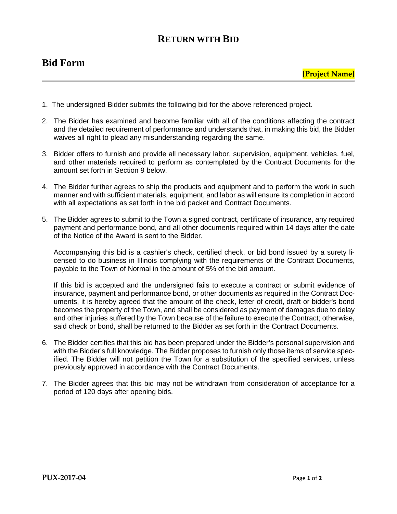### **Bid Form**

- 1. The undersigned Bidder submits the following bid for the above referenced project.
- 2. The Bidder has examined and become familiar with all of the conditions affecting the contract and the detailed requirement of performance and understands that, in making this bid, the Bidder waives all right to plead any misunderstanding regarding the same.
- 3. Bidder offers to furnish and provide all necessary labor, supervision, equipment, vehicles, fuel, and other materials required to perform as contemplated by the Contract Documents for the amount set forth in Section 9 below.
- 4. The Bidder further agrees to ship the products and equipment and to perform the work in such manner and with sufficient materials, equipment, and labor as will ensure its completion in accord with all expectations as set forth in the bid packet and Contract Documents.
- 5. The Bidder agrees to submit to the Town a signed contract, certificate of insurance, any required payment and performance bond, and all other documents required within 14 days after the date of the Notice of the Award is sent to the Bidder.

Accompanying this bid is a cashier's check, certified check, or bid bond issued by a surety licensed to do business in Illinois complying with the requirements of the Contract Documents, payable to the Town of Normal in the amount of 5% of the bid amount.

If this bid is accepted and the undersigned fails to execute a contract or submit evidence of insurance, payment and performance bond, or other documents as required in the Contract Documents, it is hereby agreed that the amount of the check, letter of credit, draft or bidder's bond becomes the property of the Town, and shall be considered as payment of damages due to delay and other injuries suffered by the Town because of the failure to execute the Contract; otherwise, said check or bond, shall be returned to the Bidder as set forth in the Contract Documents.

- 6. The Bidder certifies that this bid has been prepared under the Bidder's personal supervision and with the Bidder's full knowledge. The Bidder proposes to furnish only those items of service specified. The Bidder will not petition the Town for a substitution of the specified services, unless previously approved in accordance with the Contract Documents.
- 7. The Bidder agrees that this bid may not be withdrawn from consideration of acceptance for a period of 120 days after opening bids.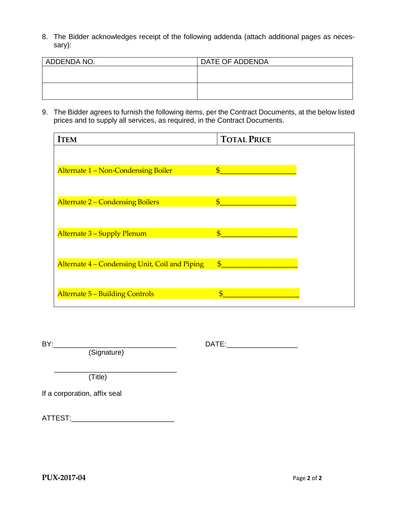8. The Bidder acknowledges receipt of the following addenda (attach additional pages as necessary):

| ADDENDA NO. | DATE OF ADDENDA |
|-------------|-----------------|
|             |                 |
|             |                 |
|             |                 |
|             |                 |

9. The Bidder agrees to furnish the following items, per the Contract Documents, at the below listed prices and to supply all services, as required, in the Contract Documents.

| <b>ITEM</b>                                    | <b>TOTAL PRICE</b>       |  |
|------------------------------------------------|--------------------------|--|
|                                                |                          |  |
| Alternate 1 - Non-Condensing Boiler            | $\mathbf{\$\}$           |  |
|                                                |                          |  |
| <b>Alternate 2 - Condensing Boilers</b>        | $\boldsymbol{\$}$        |  |
|                                                |                          |  |
| Alternate 3 - Supply Plenum                    | $\overline{\mathcal{S}}$ |  |
|                                                |                          |  |
| Alternate 4 - Condensing Unit, Coil and Piping | $\mathbf{\$\}$           |  |
|                                                |                          |  |
| <b>Alternate 5 - Building Controls</b>         | $\overline{\mathbf{S}}$  |  |
|                                                |                          |  |

(Signature)

BY:\_\_\_\_\_\_\_\_\_\_\_\_\_\_\_\_\_\_\_\_\_\_\_\_\_\_\_\_\_\_\_ DATE:\_\_\_\_\_\_\_\_\_\_\_\_\_\_\_\_\_\_

 \_\_\_\_\_\_\_\_\_\_\_\_\_\_\_\_\_\_\_\_\_\_\_\_\_\_\_\_\_\_\_ (Title)

If a corporation, affix seal

ATTEST:\_\_\_\_\_\_\_\_\_\_\_\_\_\_\_\_\_\_\_\_\_\_\_\_\_\_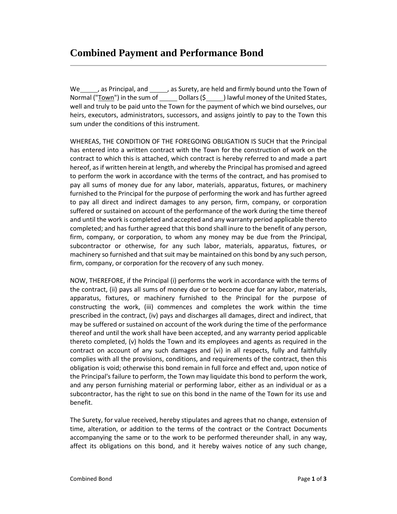We \_\_\_\_\_, as Principal, and \_\_\_\_\_, as Surety, are held and firmly bound unto the Town of Normal ("Town") in the sum of  $Dollars (\xi)$  ) lawful money of the United States, well and truly to be paid unto the Town for the payment of which we bind ourselves, our heirs, executors, administrators, successors, and assigns jointly to pay to the Town this sum under the conditions of this instrument.

WHEREAS, THE CONDITION OF THE FOREGOING OBLIGATION IS SUCH that the Principal has entered into a written contract with the Town for the construction of work on the contract to which this is attached, which contract is hereby referred to and made a part hereof, as if written herein at length, and whereby the Principal has promised and agreed to perform the work in accordance with the terms of the contract, and has promised to pay all sums of money due for any labor, materials, apparatus, fixtures, or machinery furnished to the Principal for the purpose of performing the work and has further agreed to pay all direct and indirect damages to any person, firm, company, or corporation suffered or sustained on account of the performance of the work during the time thereof and until the work is completed and accepted and any warranty period applicable thereto completed; and has further agreed that this bond shall inure to the benefit of any person, firm, company, or corporation, to whom any money may be due from the Principal, subcontractor or otherwise, for any such labor, materials, apparatus, fixtures, or machinery so furnished and that suit may be maintained on this bond by any such person, firm, company, or corporation for the recovery of any such money.

NOW, THEREFORE, if the Principal (i) performs the work in accordance with the terms of the contract, (ii) pays all sums of money due or to become due for any labor, materials, apparatus, fixtures, or machinery furnished to the Principal for the purpose of constructing the work, (iii) commences and completes the work within the time prescribed in the contract, (iv) pays and discharges all damages, direct and indirect, that may be suffered or sustained on account of the work during the time of the performance thereof and until the work shall have been accepted, and any warranty period applicable thereto completed, (v) holds the Town and its employees and agents as required in the contract on account of any such damages and (vi) in all respects, fully and faithfully complies with all the provisions, conditions, and requirements of the contract, then this obligation is void; otherwise this bond remain in full force and effect and, upon notice of the Principal's failure to perform, the Town may liquidate this bond to perform the work, and any person furnishing material or performing labor, either as an individual or as a subcontractor, has the right to sue on this bond in the name of the Town for its use and benefit.

The Surety, for value received, hereby stipulates and agrees that no change, extension of time, alteration, or addition to the terms of the contract or the Contract Documents accompanying the same or to the work to be performed thereunder shall, in any way, affect its obligations on this bond, and it hereby waives notice of any such change,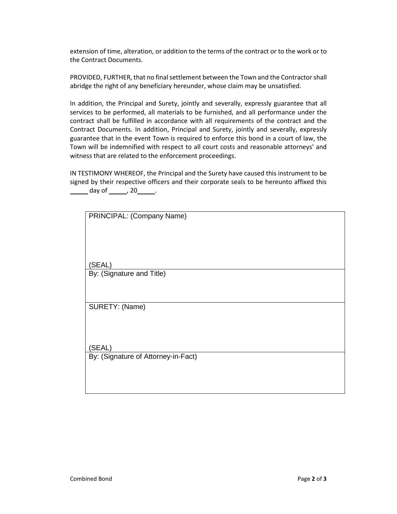extension of time, alteration, or addition to the terms of the contract or to the work or to the Contract Documents.

PROVIDED, FURTHER, that no final settlement between the Town and the Contractor shall abridge the right of any beneficiary hereunder, whose claim may be unsatisfied.

In addition, the Principal and Surety, jointly and severally, expressly guarantee that all services to be performed, all materials to be furnished, and all performance under the contract shall be fulfilled in accordance with all requirements of the contract and the Contract Documents. In addition, Principal and Surety, jointly and severally, expressly guarantee that in the event Town is required to enforce this bond in a court of law, the Town will be indemnified with respect to all court costs and reasonable attorneys' and witness that are related to the enforcement proceedings.

IN TESTIMONY WHEREOF, the Principal and the Surety have caused this instrument to be signed by their respective officers and their corporate seals to be hereunto affixed this day of  $\_\_\_$  20  $\_\_\_\,.$ 

| PRINCIPAL: (Company Name)           |
|-------------------------------------|
|                                     |
|                                     |
|                                     |
| (SEAL)                              |
| By: (Signature and Title)           |
|                                     |
|                                     |
| SURETY: (Name)                      |
|                                     |
|                                     |
| (SEAL)                              |
| By: (Signature of Attorney-in-Fact) |
|                                     |
|                                     |
|                                     |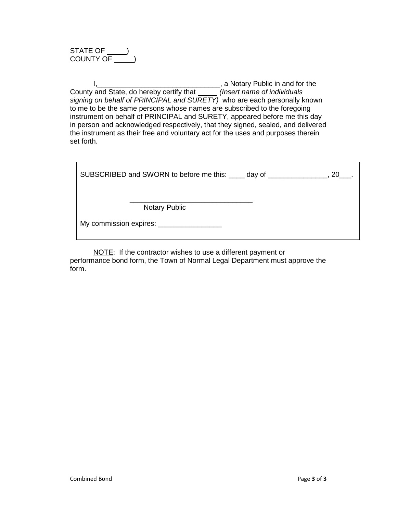STATE OF  $\rule{1em}{0.15mm}$ COUNTY OF \_\_\_\_\_\_)

I,\_\_\_\_\_\_\_\_\_\_\_\_\_\_\_\_\_\_\_\_\_\_\_\_\_\_\_\_\_\_\_, a Notary Public in and for the County and State, do hereby certify that *(Insert name of individuals signing on behalf of PRINCIPAL and SURETY)* who are each personally known to me to be the same persons whose names are subscribed to the foregoing instrument on behalf of PRINCIPAL and SURETY, appeared before me this day in person and acknowledged respectively, that they signed, sealed, and delivered the instrument as their free and voluntary act for the uses and purposes therein set forth.

| SUBSCRIBED and SWORN to before me this: _____ day of ______<br>20 |
|-------------------------------------------------------------------|
| <b>Notary Public</b>                                              |
| My commission expires: _________________                          |

NOTE: If the contractor wishes to use a different payment or performance bond form, the Town of Normal Legal Department must approve the form.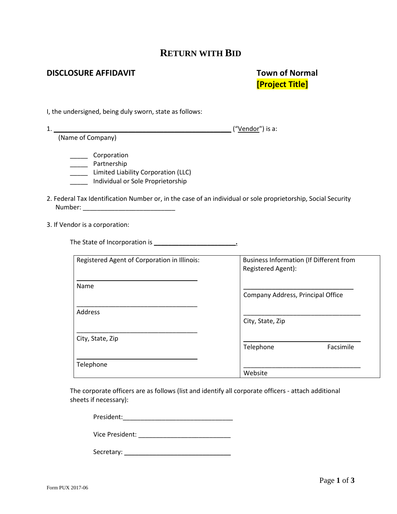### **DISCLOSURE AFFIDAVIT TOWN OF NORMAL**

# **[Project Title]**

I, the undersigned, being duly sworn, state as follows:

1. \_\_\_\_\_\_\_\_\_\_\_\_\_\_\_\_\_\_\_\_\_\_\_\_\_\_\_\_\_\_\_\_\_\_\_\_\_\_\_\_\_\_\_\_\_\_\_\_\_\_ ("Vendor") is a: (Name of Company)

- \_\_\_\_\_ Corporation
- \_\_\_\_\_\_\_ Partnership
- \_\_\_\_\_ Limited Liability Corporation (LLC)
- \_\_\_\_\_ Individual or Sole Proprietorship
- 2. Federal Tax Identification Number or, in the case of an individual or sole proprietorship, Social Security Number: \_\_\_\_\_\_\_\_\_\_\_\_\_\_\_\_\_\_\_\_\_\_\_\_\_\_
- 3. If Vendor is a corporation:

The State of Incorporation is **\_\_\_\_\_\_\_\_\_\_\_\_\_\_\_\_\_\_\_\_\_\_\_.**

| Registered Agent of Corporation in Illinois: | <b>Business Information (If Different from</b> |           |
|----------------------------------------------|------------------------------------------------|-----------|
|                                              | Registered Agent):                             |           |
|                                              |                                                |           |
|                                              |                                                |           |
| Name                                         |                                                |           |
|                                              |                                                |           |
|                                              | Company Address, Principal Office              |           |
|                                              |                                                |           |
| <b>Address</b>                               |                                                |           |
|                                              |                                                |           |
|                                              | City, State, Zip                               |           |
|                                              |                                                |           |
|                                              |                                                |           |
| City, State, Zip                             |                                                |           |
|                                              | Telephone                                      | Facsimile |
|                                              |                                                |           |
|                                              |                                                |           |
| Telephone                                    |                                                |           |
|                                              | Website                                        |           |
|                                              |                                                |           |

The corporate officers are as follows (list and identify all corporate officers - attach additional sheets if necessary):

President:\_\_\_\_\_\_\_\_\_\_\_\_\_\_\_\_\_\_\_\_\_\_\_\_\_\_\_\_\_\_\_

Vice President: \_\_\_\_\_\_\_\_\_\_\_\_\_\_\_\_\_\_\_\_\_\_\_\_\_\_

Secretary: \_\_\_\_\_\_\_\_\_\_\_\_\_\_\_\_\_\_\_\_\_\_\_\_\_\_\_\_\_\_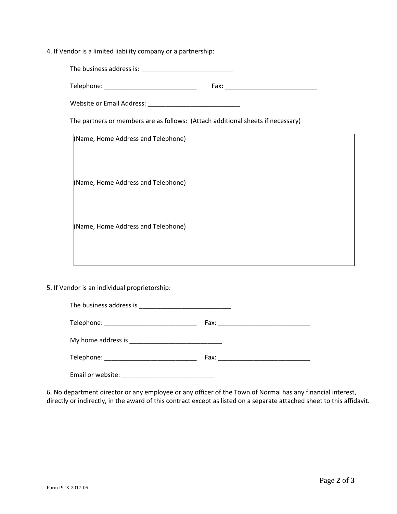4. If Vendor is a limited liability company or a partnership:

| Telephone: ________________________________                                     |  |
|---------------------------------------------------------------------------------|--|
|                                                                                 |  |
| The partners or members are as follows: (Attach additional sheets if necessary) |  |
| (Name, Home Address and Telephone)                                              |  |
| (Name, Home Address and Telephone)                                              |  |
| (Name, Home Address and Telephone)                                              |  |

5. If Vendor is an individual proprietorship:

| Telephone: __________________________________                                 |  |
|-------------------------------------------------------------------------------|--|
|                                                                               |  |
|                                                                               |  |
| Email or website:<br><u> 1989 - Johann John Stone, mars eta biztanleria (</u> |  |

6. No department director or any employee or any officer of the Town of Normal has any financial interest, directly or indirectly, in the award of this contract except as listed on a separate attached sheet to this affidavit.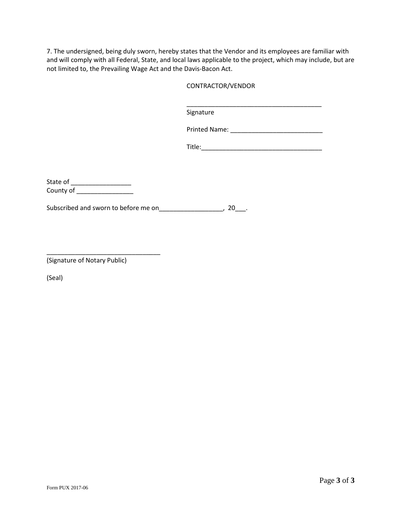7. The undersigned, being duly sworn, hereby states that the Vendor and its employees are familiar with and will comply with all Federal, State, and local laws applicable to the project, which may include, but are not limited to, the Prevailing Wage Act and the Davis-Bacon Act.

### CONTRACTOR/VENDOR

\_\_\_\_\_\_\_\_\_\_\_\_\_\_\_\_\_\_\_\_\_\_\_\_\_\_\_\_\_\_\_\_\_\_\_\_\_\_ Signature

| <b>Printed Name:</b> |  |
|----------------------|--|
|----------------------|--|

| Title: |  |  |  |
|--------|--|--|--|
|        |  |  |  |

State of \_\_\_\_\_\_\_\_\_\_\_\_\_\_\_\_\_\_\_\_\_ County of \_\_\_\_\_\_\_\_\_\_\_\_\_\_\_\_\_\_\_\_

Subscribed and sworn to before me on\_\_\_\_\_\_\_\_\_\_\_\_\_\_\_\_\_\_\_\_, 20\_\_\_.

\_\_\_\_\_\_\_\_\_\_\_\_\_\_\_\_\_\_\_\_\_\_\_\_\_\_\_\_\_\_\_\_ (Signature of Notary Public)

(Seal)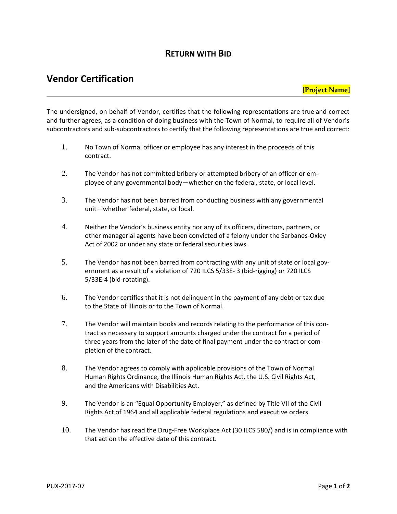### **Vendor Certification**

The undersigned, on behalf of Vendor, certifies that the following representations are true and correct and further agrees, as a condition of doing business with the Town of Normal, to require all of Vendor's subcontractors and sub-subcontractors to certify that the following representations are true and correct:

- 1. No Town of Normal officer or employee has any interest in the proceeds of this contract.
- 2. The Vendor has not committed bribery or attempted bribery of an officer or employee of any governmental body—whether on the federal, state, or local level.
- 3. The Vendor has not been barred from conducting business with any governmental unit—whether federal, state, or local.
- 4. Neither the Vendor's business entity nor any of its officers, directors, partners, or other managerial agents have been convicted of a felony under the Sarbanes-Oxley Act of 2002 or under any state or federal securities laws.
- 5. The Vendor has not been barred from contracting with any unit of state or local government as a result of a violation of 720 ILCS 5/33E- 3 (bid-rigging) or 720 ILCS 5/33E-4 (bid-rotating).
- 6. The Vendor certifies that it is not delinquent in the payment of any debt or tax due to the State of Illinois or to the Town of Normal.
- 7. The Vendor will maintain books and records relating to the performance of this contract as necessary to support amounts charged under the contract for a period of three years from the later of the date of final payment under the contract or completion of the contract.
- 8. The Vendor agrees to comply with applicable provisions of the Town of Normal Human Rights Ordinance, the Illinois Human Rights Act, the U.S. Civil Rights Act, and the Americans with Disabilities Act.
- 9. The Vendor is an "Equal Opportunity Employer," as defined by Title VII of the Civil Rights Act of 1964 and all applicable federal regulations and executive orders.
- 10. The Vendor has read the Drug-Free Workplace Act (30 ILCS 580/) and is in compliance with that act on the effective date of this contract.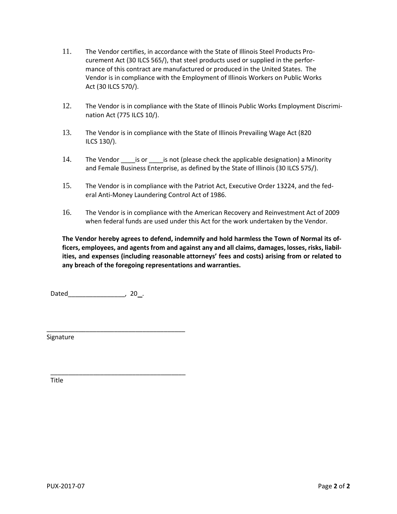- 11. The Vendor certifies, in accordance with the State of Illinois Steel Products Procurement Act (30 ILCS 565/), that steel products used or supplied in the performance of this contract are manufactured or produced in the United States. The Vendor is in compliance with the Employment of Illinois Workers on Public Works Act (30 ILCS 570/).
- 12. The Vendor is in compliance with the State of Illinois Public Works Employment Discrimination Act (775 ILCS 10/).
- 13. The Vendor is in compliance with the State of Illinois Prevailing Wage Act (820 ILCS 130/).
- 14. The Vendor is or is not (please check the applicable designation) a Minority and Female Business Enterprise, as defined by the State of Illinois (30 ILCS 575/).
- 15. The Vendor is in compliance with the Patriot Act, Executive Order 13224, and the federal Anti-Money Laundering Control Act of 1986.
- 16. The Vendor is in compliance with the American Recovery and Reinvestment Act of 2009 when federal funds are used under this Act for the work undertaken by the Vendor.

**The Vendor hereby agrees to defend, indemnify and hold harmless the Town of Normal its officers, employees, and agents from and against any and all claims, damages, losses, risks, liabilities, and expenses (including reasonable attorneys' fees and costs) arising from or related to any breach of the foregoing representations and warranties.**

Dated , 20 .

\_\_\_\_\_\_\_\_\_\_\_\_\_\_\_\_\_\_\_\_\_\_\_\_\_\_\_\_\_\_\_\_\_\_\_\_\_\_\_

\_\_\_\_\_\_\_\_\_\_\_\_\_\_\_\_\_\_\_\_\_\_\_\_\_\_\_\_\_\_\_\_\_\_\_\_\_\_

Signature

Title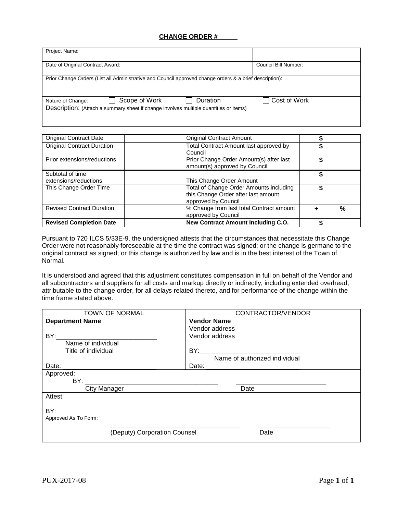### **CHANGE ORDER #**

| Project Name:                                                                                                                           |                      |
|-----------------------------------------------------------------------------------------------------------------------------------------|----------------------|
| Date of Original Contract Award:                                                                                                        | Council Bill Number: |
| Prior Change Orders (List all Administrative and Council approved change orders & a brief description):                                 |                      |
| Scope of Work<br>Duration<br>Nature of Change:<br>Description: (Attach a summary sheet if change involves multiple quantities or items) | Cost of Work         |

| <b>Revised Completion Date</b>            | New Contract Amount Including C.O.                                                                    |  |      |
|-------------------------------------------|-------------------------------------------------------------------------------------------------------|--|------|
| <b>Revised Contract Duration</b>          | % Change from last total Contract amount<br>approved by Council                                       |  | $\%$ |
| This Change Order Time                    | Total of Change Order Amounts including<br>this Change Order after last amount<br>approved by Council |  |      |
| Subtotal of time<br>extensions/reductions | This Change Order Amount                                                                              |  |      |
| Prior extensions/reductions               | Prior Change Order Amount(s) after last<br>amount(s) approved by Council                              |  |      |
| <b>Original Contract Duration</b>         | Total Contract Amount last approved by<br>Council                                                     |  |      |
| <b>Original Contract Date</b>             | <b>Original Contract Amount</b>                                                                       |  |      |

Pursuant to 720 ILCS 5/33E-9, the undersigned attests that the circumstances that necessitate this Change Order were not reasonably foreseeable at the time the contract was signed; or the change is germane to the original contract as signed; or this change is authorized by law and is in the best interest of the Town of Normal.

It is understood and agreed that this adjustment constitutes compensation in full on behalf of the Vendor and all subcontractors and suppliers for all costs and markup directly or indirectly, including extended overhead, attributable to the change order, for all delays related thereto, and for performance of the change within the time frame stated above.

| <b>TOWN OF NORMAL</b>                                                                                                                                                                                                          | CONTRACTOR/VENDOR                                                                                                                                                                                                             |
|--------------------------------------------------------------------------------------------------------------------------------------------------------------------------------------------------------------------------------|-------------------------------------------------------------------------------------------------------------------------------------------------------------------------------------------------------------------------------|
| <b>Department Name</b>                                                                                                                                                                                                         | <b>Vendor Name</b>                                                                                                                                                                                                            |
|                                                                                                                                                                                                                                | Vendor address                                                                                                                                                                                                                |
|                                                                                                                                                                                                                                | Vendor address                                                                                                                                                                                                                |
| Name of individual                                                                                                                                                                                                             |                                                                                                                                                                                                                               |
| Title of individual                                                                                                                                                                                                            |                                                                                                                                                                                                                               |
|                                                                                                                                                                                                                                | Name of authorized individual                                                                                                                                                                                                 |
|                                                                                                                                                                                                                                | Date: 2008.000 2008.000 2009.000 2009.000 2009.000 2009.000 2009.000 2009.000 2009.000 2009.000 2009.000 2009.000 2009.000 2009.000 2009.000 2009.000 2009.000 2009.000 2009.000 2009.000 2009.000 2009.000 2009.000 2009.000 |
| Approved:                                                                                                                                                                                                                      |                                                                                                                                                                                                                               |
| BY: the contract of the contract of the contract of the contract of the contract of the contract of the contract of the contract of the contract of the contract of the contract of the contract of the contract of the contra |                                                                                                                                                                                                                               |
| <b>City Manager</b>                                                                                                                                                                                                            | Date                                                                                                                                                                                                                          |
| Attest:                                                                                                                                                                                                                        |                                                                                                                                                                                                                               |
|                                                                                                                                                                                                                                |                                                                                                                                                                                                                               |
| BY:                                                                                                                                                                                                                            |                                                                                                                                                                                                                               |
| Approved As To Form:                                                                                                                                                                                                           |                                                                                                                                                                                                                               |
|                                                                                                                                                                                                                                |                                                                                                                                                                                                                               |
| (Deputy) Corporation Counsel                                                                                                                                                                                                   | Date                                                                                                                                                                                                                          |
|                                                                                                                                                                                                                                |                                                                                                                                                                                                                               |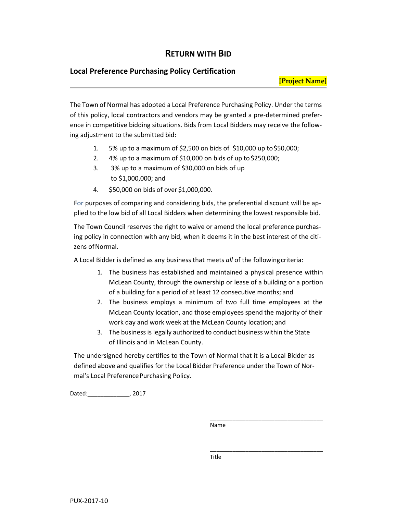### **Local Preference Purchasing Policy Certification**

### **[Project Name]**

The Town of Normal has adopted a Local Preference Purchasing Policy. Under the terms of this policy, local contractors and vendors may be granted a pre-determined preference in competitive bidding situations. Bids from Local Bidders may receive the following adjustment to the submitted bid:

- 1. 5% up to a maximum of \$2,500 on bids of \$10,000 up to\$50,000;
- 2. 4% up to a maximum of \$10,000 on bids of up to\$250,000;
- 3. 3% up to a maximum of \$30,000 on bids of up to \$1,000,000; and
- 4. \$50,000 on bids of over \$1,000,000.

For purposes of comparing and considering bids, the preferential discount will be applied to the low bid of all Local Bidders when determining the lowest responsible bid.

The Town Council reserves the right to waive or amend the local preference purchasing policy in connection with any bid, when it deems it in the best interest of the citizens of Normal.

A Local Bidder is defined as any business that meets *all* of the followingcriteria:

- 1. The business has established and maintained a physical presence within McLean County, through the ownership or lease of a building or a portion of a building for a period of at least 12 consecutive months; and
- 2. The business employs a minimum of two full time employees at the McLean County location, and those employees spend the majority of their work day and work week at the McLean County location; and
- 3. The business is legally authorized to conduct business within the State of Illinois and in McLean County.

The undersigned hereby certifies to the Town of Normal that it is a Local Bidder as defined above and qualifies for the Local Bidder Preference under the Town of Normal's Local Preference Purchasing Policy.

Dated:\_\_\_\_\_\_\_\_\_\_\_\_\_, 2017

Name

\_\_\_\_\_\_\_\_\_\_\_\_\_\_\_\_\_\_\_\_\_\_\_\_\_\_\_\_\_\_\_\_\_\_\_

\_\_\_\_\_\_\_\_\_\_\_\_\_\_\_\_\_\_\_\_\_\_\_\_\_\_\_\_\_\_\_\_\_\_\_

Title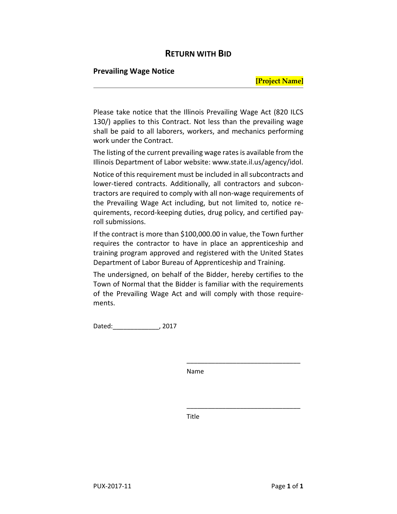### **Prevailing Wage Notice**

### **[Project Name]**

Please take notice that the Illinois Prevailing Wage Act (820 ILCS 130/) applies to this Contract. Not less than the prevailing wage shall be paid to all laborers, workers, and mechanics performing work under the Contract.

The listing of the current prevailing wage rates is available from the Illinois Department of Labor website: www.state.il.us/agency/idol.

Notice of this requirement must be included in all subcontracts and lower-tiered contracts. Additionally, all contractors and subcontractors are required to comply with all non-wage requirements of the Prevailing Wage Act including, but not limited to, notice requirements, record-keeping duties, drug policy, and certified payroll submissions.

If the contract is more than \$100,000.00 in value, the Town further requires the contractor to have in place an apprenticeship and training program approved and registered with the United States Department of Labor Bureau of Apprenticeship and Training.

The undersigned, on behalf of the Bidder, hereby certifies to the Town of Normal that the Bidder is familiar with the requirements of the Prevailing Wage Act and will comply with those requirements.

Dated:\_\_\_\_\_\_\_\_\_\_\_\_\_, 2017

Name

\_\_\_\_\_\_\_\_\_\_\_\_\_\_\_\_\_\_\_\_\_\_\_\_\_\_\_\_\_\_\_\_

\_\_\_\_\_\_\_\_\_\_\_\_\_\_\_\_\_\_\_\_\_\_\_\_\_\_\_\_\_\_\_\_

Title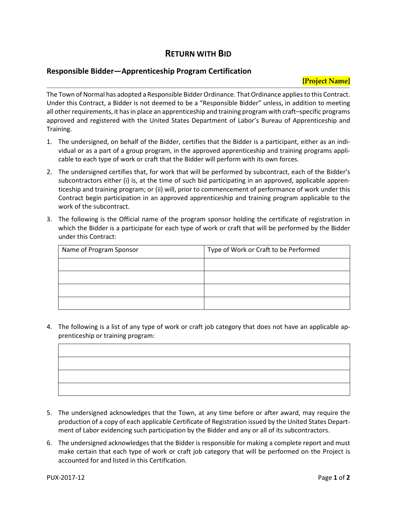### **Responsible Bidder—Apprenticeship Program Certification**

The Town of Normal has adopted a Responsible Bidder Ordinance. That Ordinance applies to this Contract. Under this Contract, a Bidder is not deemed to be a "Responsible Bidder" unless, in addition to meeting all other requirements, it has in place an apprenticeship and training program with craft–specific programs approved and registered with the United States Department of Labor's Bureau of Apprenticeship and Training.

- 1. The undersigned, on behalf of the Bidder, certifies that the Bidder is a participant, either as an individual or as a part of a group program, in the approved apprenticeship and training programs applicable to each type of work or craft that the Bidder will perform with its own forces.
- 2. The undersigned certifies that, for work that will be performed by subcontract, each of the Bidder's subcontractors either (i) is, at the time of such bid participating in an approved, applicable apprenticeship and training program; or (ii) will, prior to commencement of performance of work under this Contract begin participation in an approved apprenticeship and training program applicable to the work of the subcontract.
- 3. The following is the Official name of the program sponsor holding the certificate of registration in which the Bidder is a participate for each type of work or craft that will be performed by the Bidder under this Contract:

| Name of Program Sponsor | Type of Work or Craft to be Performed |
|-------------------------|---------------------------------------|
|                         |                                       |
|                         |                                       |
|                         |                                       |
|                         |                                       |

4. The following is a list of any type of work or craft job category that does not have an applicable apprenticeship or training program:

- 5. The undersigned acknowledges that the Town, at any time before or after award, may require the production of a copy of each applicable Certificate of Registration issued by the United States Department of Labor evidencing such participation by the Bidder and any or all of its subcontractors.
- 6. The undersigned acknowledges that the Bidder is responsible for making a complete report and must make certain that each type of work or craft job category that will be performed on the Project is accounted for and listed in this Certification.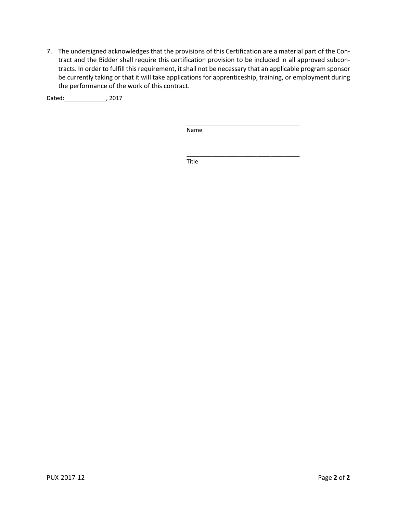7. The undersigned acknowledges that the provisions of this Certification are a material part of the Contract and the Bidder shall require this certification provision to be included in all approved subcontracts. In order to fulfill this requirement, it shall not be necessary that an applicable program sponsor be currently taking or that it will take applications for apprenticeship, training, or employment during the performance of the work of this contract.

Dated:\_\_\_\_\_\_\_\_\_\_\_\_\_, 2017

Name

\_\_\_\_\_\_\_\_\_\_\_\_\_\_\_\_\_\_\_\_\_\_\_\_\_\_\_\_\_\_\_\_\_\_\_

\_\_\_\_\_\_\_\_\_\_\_\_\_\_\_\_\_\_\_\_\_\_\_\_\_\_\_\_\_\_\_\_\_\_\_

Title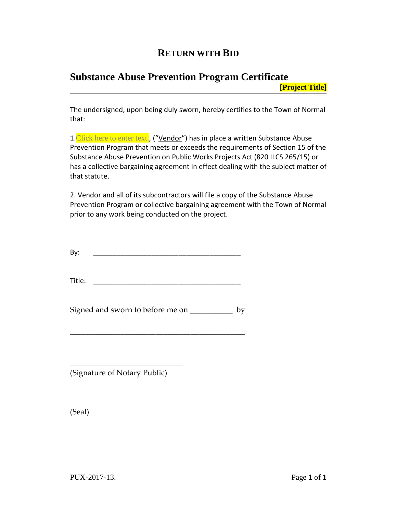### **Substance Abuse Prevention Program Certificate**

**[Project Title]**

The undersigned, upon being duly sworn, hereby certifies to the Town of Normal that:

1. Click here to enter text., ("Vendor") has in place a written Substance Abuse Prevention Program that meets or exceeds the requirements of Section 15 of the Substance Abuse Prevention on Public Works Projects Act (820 ILCS 265/15) or has a collective bargaining agreement in effect dealing with the subject matter of that statute.

2. Vendor and all of its subcontractors will file a copy of the Substance Abuse Prevention Program or collective bargaining agreement with the Town of Normal prior to any work being conducted on the project.

By: \_\_\_\_\_\_\_\_\_\_\_\_\_\_\_\_\_\_\_\_\_\_\_\_\_\_\_\_\_\_\_\_\_\_\_\_\_\_

 $\blacksquare$  Title:

Signed and sworn to before me on \_\_\_\_\_\_\_\_\_\_\_ by

\_\_\_\_\_\_\_\_\_\_\_\_\_\_\_\_\_\_\_\_\_\_\_\_\_\_\_\_\_\_\_\_\_\_\_\_\_\_\_\_\_\_\_\_\_.

(Signature of Notary Public)

\_\_\_\_\_\_\_\_\_\_\_\_\_\_\_\_\_\_\_\_\_\_\_\_\_\_\_\_\_

(Seal)

PUX-2017-13. Page **1** of **1**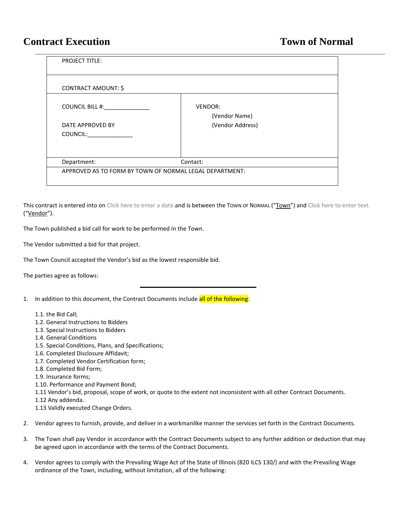### **Contract Execution Town of Normal**

| <b>PROJECT TITLE:</b>        |                                                         |  |
|------------------------------|---------------------------------------------------------|--|
| <b>CONTRACT AMOUNT: \$</b>   |                                                         |  |
| <b>COUNCIL BILL #:</b>       | VENDOR:<br>(Vendor Name)                                |  |
| DATE APPROVED BY<br>COUNCIL: | (Vendor Address)                                        |  |
| Department:                  | Contact:                                                |  |
|                              | APPROVED AS TO FORM BY TOWN OF NORMAL LEGAL DEPARTMENT: |  |

This contract is entered into on Click here to enter a date.and is between the TOWN OF NORMAL ("TOWN") and Click here to enter text. ("Vendor").

\_\_\_\_\_\_\_\_\_\_\_\_\_\_\_\_\_\_\_\_

The Town published a bid call for work to be performed in the Town.

The Vendor submitted a bid for that project.

The Town Council accepted the Vendor's bid as the lowest responsible bid.

The parties agree as follows:

- 1. In addition to this document, the Contract Documents include all of the following:
	- 1.1. the Bid Call;
	- 1.2. General Instructions to Bidders
	- 1.3. Special Instructions to Bidders
	- 1.4. General Conditions
	- 1.5. Special Conditions, Plans, and Specifications;
	- 1.6. Completed Disclosure Affidavit;
	- 1.7. Completed Vendor Certification form;
	- 1.8. Completed Bid Form;
	- 1.9. Insurance forms;
	- 1.10. Performance and Payment Bond;
	- 1.11 Vendor's bid, proposal, scope of work, or quote to the extent not inconsistent with all other Contract Documents.
	- 1.12 Any addenda.
	- 1.13 Validly executed Change Orders.
- 2. Vendor agrees to furnish, provide, and deliver in a workmanlike manner the services set forth in the Contract Documents.
- 3. The Town shall pay Vendor in accordance with the Contract Documents subject to any further addition or deduction that may be agreed upon in accordance with the terms of the Contract Documents.
- 4. Vendor agrees to comply with the Prevailing Wage Act of the State of Illinois (820 ILCS 130/) and with the Prevailing Wage ordinance of the Town, including, without limitation, all of the following: